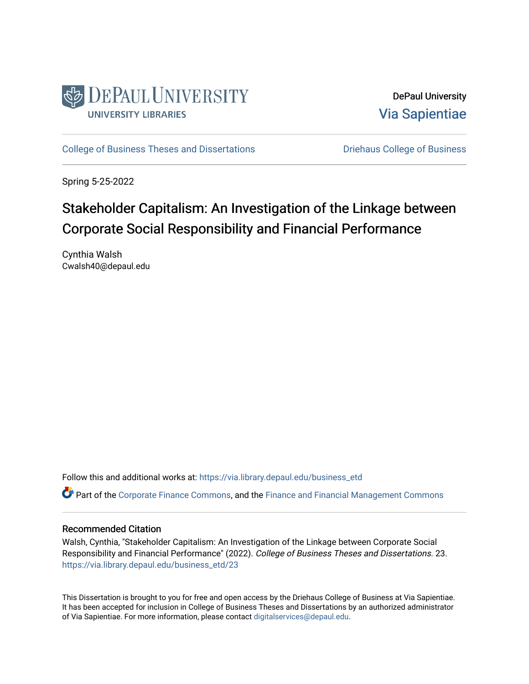

DePaul University [Via Sapientiae](https://via.library.depaul.edu/) 

[College of Business Theses and Dissertations](https://via.library.depaul.edu/business_etd) **Disk College of Business** College of Business

Spring 5-25-2022

# Stakeholder Capitalism: An Investigation of the Linkage between Corporate Social Responsibility and Financial Performance

Cynthia Walsh Cwalsh40@depaul.edu

Follow this and additional works at: [https://via.library.depaul.edu/business\\_etd](https://via.library.depaul.edu/business_etd?utm_source=via.library.depaul.edu%2Fbusiness_etd%2F23&utm_medium=PDF&utm_campaign=PDFCoverPages) 

**C** Part of the [Corporate Finance Commons](https://network.bepress.com/hgg/discipline/629?utm_source=via.library.depaul.edu%2Fbusiness_etd%2F23&utm_medium=PDF&utm_campaign=PDFCoverPages), and the Finance and Financial Management Commons

### Recommended Citation

Walsh, Cynthia, "Stakeholder Capitalism: An Investigation of the Linkage between Corporate Social Responsibility and Financial Performance" (2022). College of Business Theses and Dissertations. 23. [https://via.library.depaul.edu/business\\_etd/23](https://via.library.depaul.edu/business_etd/23?utm_source=via.library.depaul.edu%2Fbusiness_etd%2F23&utm_medium=PDF&utm_campaign=PDFCoverPages)

This Dissertation is brought to you for free and open access by the Driehaus College of Business at Via Sapientiae. It has been accepted for inclusion in College of Business Theses and Dissertations by an authorized administrator of Via Sapientiae. For more information, please contact [digitalservices@depaul.edu.](mailto:digitalservices@depaul.edu)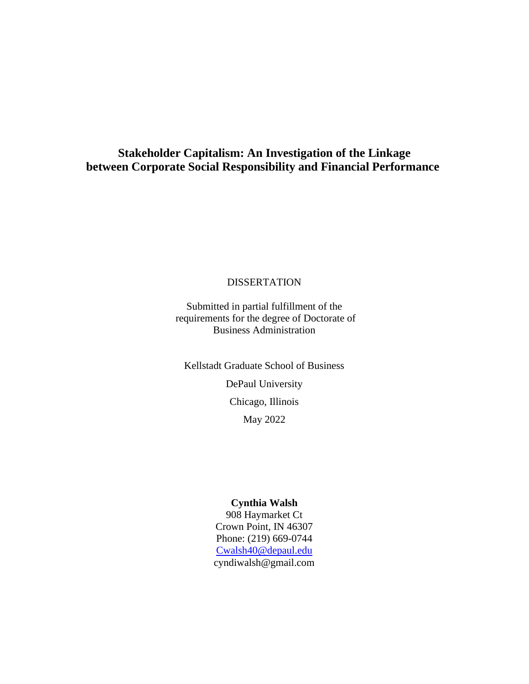## **Stakeholder Capitalism: An Investigation of the Linkage between Corporate Social Responsibility and Financial Performance**

### **DISSERTATION**

Submitted in partial fulfillment of the requirements for the degree of Doctorate of Business Administration

Kellstadt Graduate School of Business DePaul University Chicago, Illinois May 2022

#### **Cynthia Walsh**

908 Haymarket Ct Crown Point, IN 46307 Phone: (219) 669-0744 [Cwalsh40@depaul.edu](mailto:Cwalsh40@depaul.edu) cyndiwalsh@gmail.com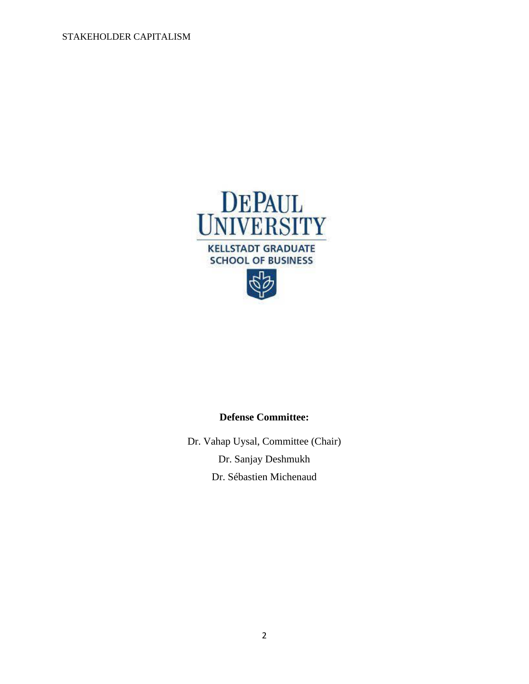



Dr. Vahap Uysal, Committee (Chair) Dr. Sanjay Deshmukh Dr. Sébastien Michenaud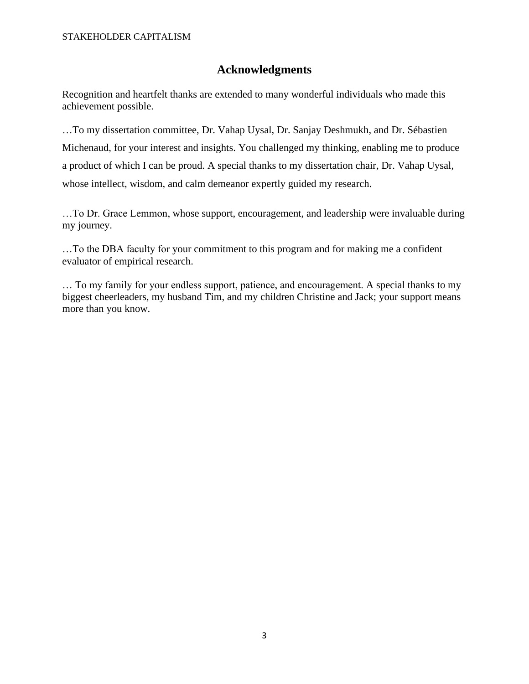## **Acknowledgments**

Recognition and heartfelt thanks are extended to many wonderful individuals who made this achievement possible.

…To my dissertation committee, Dr. Vahap Uysal, Dr. Sanjay Deshmukh, and Dr. Sébastien Michenaud, for your interest and insights. You challenged my thinking, enabling me to produce a product of which I can be proud. A special thanks to my dissertation chair, Dr. Vahap Uysal, whose intellect, wisdom, and calm demeanor expertly guided my research.

…To Dr. Grace Lemmon, whose support, encouragement, and leadership were invaluable during my journey.

…To the DBA faculty for your commitment to this program and for making me a confident evaluator of empirical research.

… To my family for your endless support, patience, and encouragement. A special thanks to my biggest cheerleaders, my husband Tim, and my children Christine and Jack; your support means more than you know.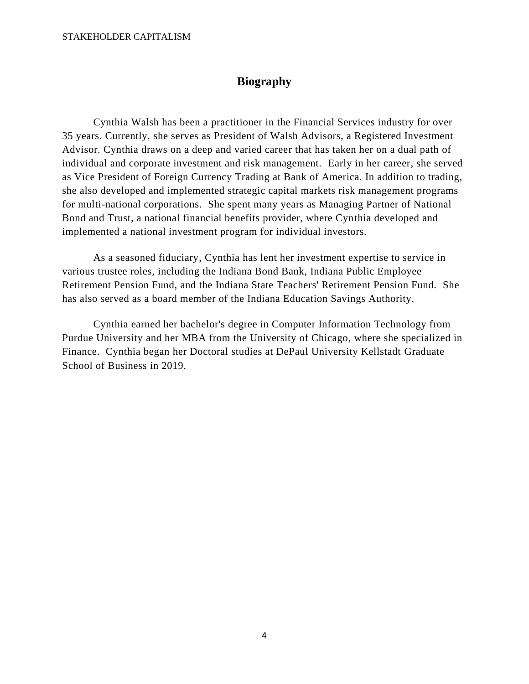## **Biography**

Cynthia Walsh has been a practitioner in the Financial Services industry for over 35 years. Currently, she serves as President of Walsh Advisors, a Registered Investment Advisor. Cynthia draws on a deep and varied career that has taken her on a dual path of individual and corporate investment and risk management. Early in her career, she served as Vice President of Foreign Currency Trading at Bank of America. In addition to trading, she also developed and implemented strategic capital markets risk management programs for multi-national corporations. She spent many years as Managing Partner of National Bond and Trust, a national financial benefits provider, where Cynthia developed and implemented a national investment program for individual investors.

As a seasoned fiduciary, Cynthia has lent her investment expertise to service in various trustee roles, including the Indiana Bond Bank, Indiana Public Employee Retirement Pension Fund, and the Indiana State Teachers' Retirement Pension Fund. She has also served as a board member of the Indiana Education Savings Authority.

Cynthia earned her bachelor's degree in Computer Information Technology from Purdue University and her MBA from the University of Chicago, where she specialized in Finance. Cynthia began her Doctoral studies at DePaul University Kellstadt Graduate School of Business in 2019.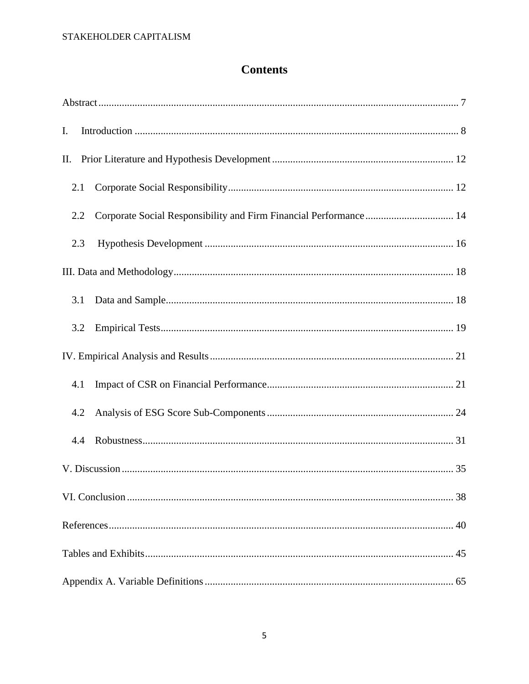## **Contents**

| I.  |  |
|-----|--|
| П.  |  |
| 2.1 |  |
| 2.2 |  |
| 2.3 |  |
|     |  |
| 3.1 |  |
| 3.2 |  |
|     |  |
| 4.1 |  |
| 4.2 |  |
| 4.4 |  |
|     |  |
|     |  |
|     |  |
|     |  |
|     |  |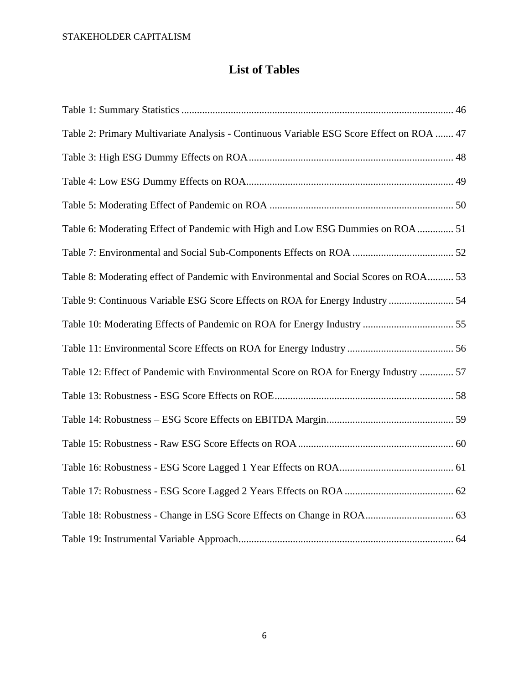## **List of Tables**

<span id="page-6-0"></span>

| Table 2: Primary Multivariate Analysis - Continuous Variable ESG Score Effect on ROA  47 |  |
|------------------------------------------------------------------------------------------|--|
|                                                                                          |  |
|                                                                                          |  |
|                                                                                          |  |
| Table 6: Moderating Effect of Pandemic with High and Low ESG Dummies on ROA  51          |  |
|                                                                                          |  |
| Table 8: Moderating effect of Pandemic with Environmental and Social Scores on ROA 53    |  |
| Table 9: Continuous Variable ESG Score Effects on ROA for Energy Industry  54            |  |
|                                                                                          |  |
|                                                                                          |  |
| Table 12: Effect of Pandemic with Environmental Score on ROA for Energy Industry  57     |  |
|                                                                                          |  |
|                                                                                          |  |
|                                                                                          |  |
|                                                                                          |  |
|                                                                                          |  |
|                                                                                          |  |
|                                                                                          |  |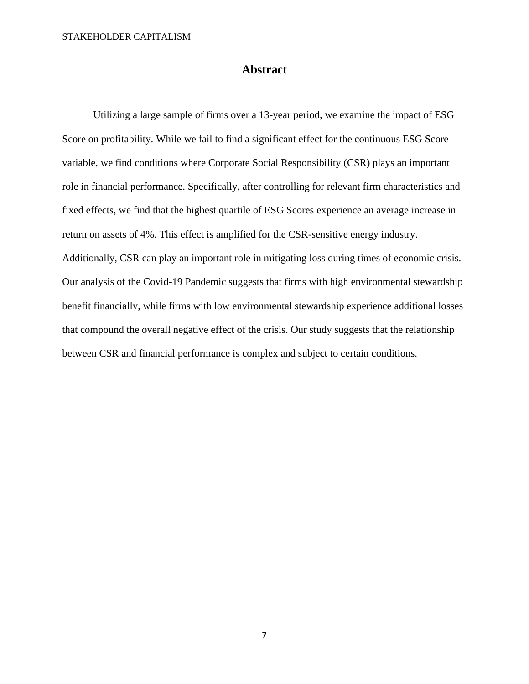### **Abstract**

Utilizing a large sample of firms over a 13-year period, we examine the impact of ESG Score on profitability. While we fail to find a significant effect for the continuous ESG Score variable, we find conditions where Corporate Social Responsibility (CSR) plays an important role in financial performance. Specifically, after controlling for relevant firm characteristics and fixed effects, we find that the highest quartile of ESG Scores experience an average increase in return on assets of 4%. This effect is amplified for the CSR-sensitive energy industry. Additionally, CSR can play an important role in mitigating loss during times of economic crisis. Our analysis of the Covid-19 Pandemic suggests that firms with high environmental stewardship benefit financially, while firms with low environmental stewardship experience additional losses that compound the overall negative effect of the crisis. Our study suggests that the relationship between CSR and financial performance is complex and subject to certain conditions.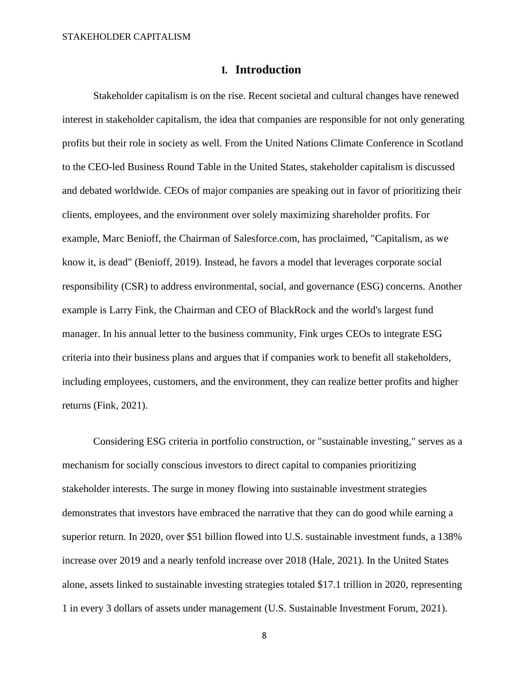### **I. Introduction**

<span id="page-8-0"></span>Stakeholder capitalism is on the rise. Recent societal and cultural changes have renewed interest in stakeholder capitalism, the idea that companies are responsible for not only generating profits but their role in society as well. From the United Nations Climate Conference in Scotland to the CEO-led Business Round Table in the United States, stakeholder capitalism is discussed and debated worldwide. CEOs of major companies are speaking out in favor of prioritizing their clients, employees, and the environment over solely maximizing shareholder profits. For example, Marc Benioff, the Chairman of Salesforce.com, has proclaimed, "Capitalism, as we know it, is dead" (Benioff, 2019). Instead, he favors a model that leverages corporate social responsibility (CSR) to address environmental, social, and governance (ESG) concerns. Another example is Larry Fink, the Chairman and CEO of BlackRock and the world's largest fund manager. In his annual letter to the business community, Fink urges CEOs to integrate ESG criteria into their business plans and argues that if companies work to benefit all stakeholders, including employees, customers, and the environment, they can realize better profits and higher returns (Fink, 2021).

Considering ESG criteria in portfolio construction, or "sustainable investing," serves as a mechanism for socially conscious investors to direct capital to companies prioritizing stakeholder interests. The surge in money flowing into sustainable investment strategies demonstrates that investors have embraced the narrative that they can do good while earning a superior return. In 2020, over \$51 billion flowed into U.S. sustainable investment funds, a 138% increase over 2019 and a nearly tenfold increase over 2018 (Hale, 2021). In the United States alone, assets linked to sustainable investing strategies totaled \$17.1 trillion in 2020, representing 1 in every 3 dollars of assets under management (U.S. Sustainable Investment Forum, 2021).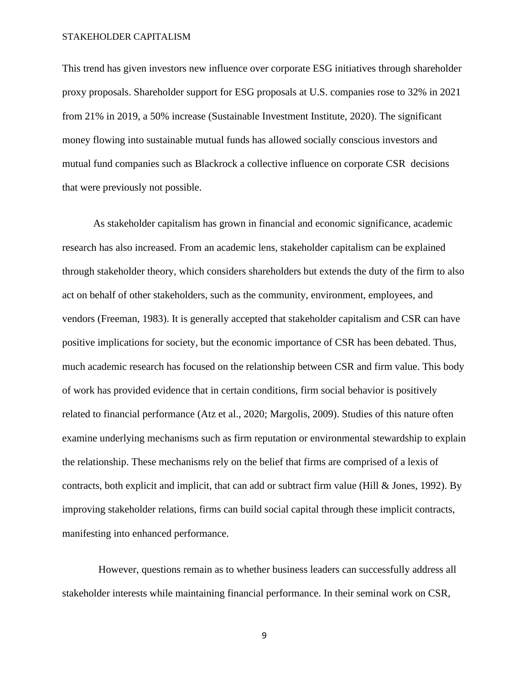This trend has given investors new influence over corporate ESG initiatives through shareholder proxy proposals. Shareholder support for ESG proposals at U.S. companies rose to 32% in 2021 from 21% in 2019, a 50% increase (Sustainable Investment Institute, 2020). The significant money flowing into sustainable mutual funds has allowed socially conscious investors and mutual fund companies such as Blackrock a collective influence on corporate CSR decisions that were previously not possible.

As stakeholder capitalism has grown in financial and economic significance, academic research has also increased. From an academic lens, stakeholder capitalism can be explained through stakeholder theory, which considers shareholders but extends the duty of the firm to also act on behalf of other stakeholders, such as the community, environment, employees, and vendors (Freeman, 1983). It is generally accepted that stakeholder capitalism and CSR can have positive implications for society, but the economic importance of CSR has been debated. Thus, much academic research has focused on the relationship between CSR and firm value. This body of work has provided evidence that in certain conditions, firm social behavior is positively related to financial performance (Atz et al., 2020; Margolis, 2009). Studies of this nature often examine underlying mechanisms such as firm reputation or environmental stewardship to explain the relationship. These mechanisms rely on the belief that firms are comprised of a lexis of contracts, both explicit and implicit, that can add or subtract firm value (Hill  $\&$  Jones, 1992). By improving stakeholder relations, firms can build social capital through these implicit contracts, manifesting into enhanced performance.

 However, questions remain as to whether business leaders can successfully address all stakeholder interests while maintaining financial performance. In their seminal work on CSR,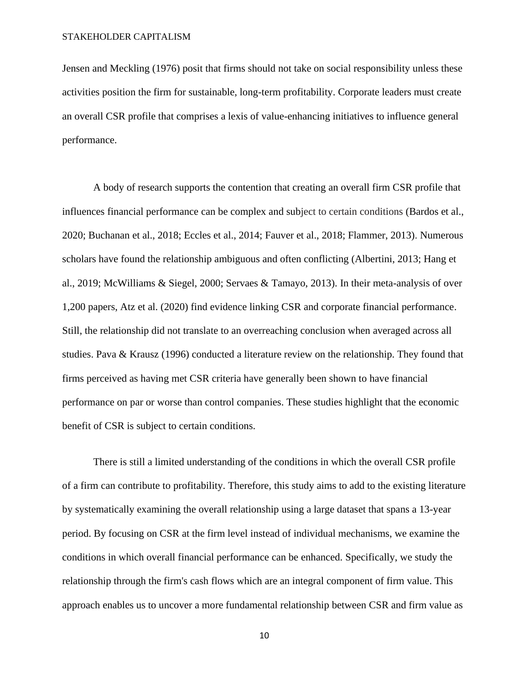Jensen and Meckling (1976) posit that firms should not take on social responsibility unless these activities position the firm for sustainable, long-term profitability. Corporate leaders must create an overall CSR profile that comprises a lexis of value-enhancing initiatives to influence general performance.

A body of research supports the contention that creating an overall firm CSR profile that influences financial performance can be complex and subject to certain conditions (Bardos et al., 2020; Buchanan et al., 2018; Eccles et al., 2014; Fauver et al., 2018; Flammer, 2013). Numerous scholars have found the relationship ambiguous and often conflicting (Albertini, 2013; Hang et al., 2019; McWilliams & Siegel, 2000; Servaes & Tamayo, 2013). In their meta-analysis of over 1,200 papers, Atz et al. (2020) find evidence linking CSR and corporate financial performance. Still, the relationship did not translate to an overreaching conclusion when averaged across all studies. Pava & Krausz (1996) conducted a literature review on the relationship. They found that firms perceived as having met CSR criteria have generally been shown to have financial performance on par or worse than control companies. These studies highlight that the economic benefit of CSR is subject to certain conditions.

There is still a limited understanding of the conditions in which the overall CSR profile of a firm can contribute to profitability. Therefore, this study aims to add to the existing literature by systematically examining the overall relationship using a large dataset that spans a 13-year period. By focusing on CSR at the firm level instead of individual mechanisms, we examine the conditions in which overall financial performance can be enhanced. Specifically, we study the relationship through the firm's cash flows which are an integral component of firm value. This approach enables us to uncover a more fundamental relationship between CSR and firm value as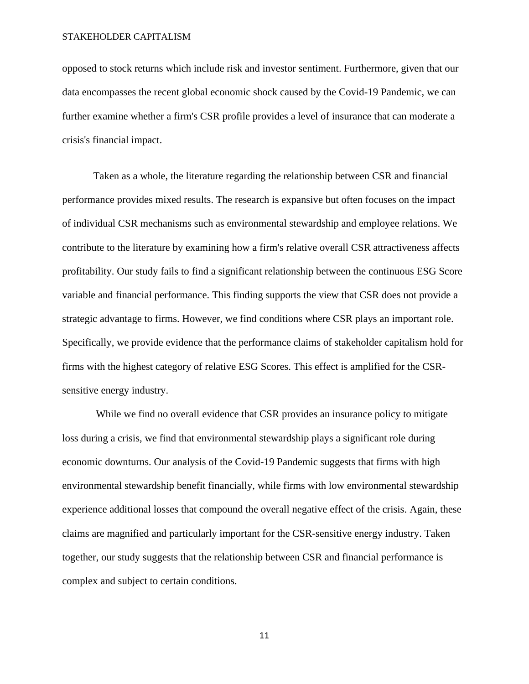opposed to stock returns which include risk and investor sentiment. Furthermore, given that our data encompasses the recent global economic shock caused by the Covid-19 Pandemic, we can further examine whether a firm's CSR profile provides a level of insurance that can moderate a crisis's financial impact.

Taken as a whole, the literature regarding the relationship between CSR and financial performance provides mixed results. The research is expansive but often focuses on the impact of individual CSR mechanisms such as environmental stewardship and employee relations. We contribute to the literature by examining how a firm's relative overall CSR attractiveness affects profitability. Our study fails to find a significant relationship between the continuous ESG Score variable and financial performance. This finding supports the view that CSR does not provide a strategic advantage to firms. However, we find conditions where CSR plays an important role. Specifically, we provide evidence that the performance claims of stakeholder capitalism hold for firms with the highest category of relative ESG Scores. This effect is amplified for the CSRsensitive energy industry.

While we find no overall evidence that CSR provides an insurance policy to mitigate loss during a crisis, we find that environmental stewardship plays a significant role during economic downturns. Our analysis of the Covid-19 Pandemic suggests that firms with high environmental stewardship benefit financially, while firms with low environmental stewardship experience additional losses that compound the overall negative effect of the crisis. Again, these claims are magnified and particularly important for the CSR-sensitive energy industry. Taken together, our study suggests that the relationship between CSR and financial performance is complex and subject to certain conditions.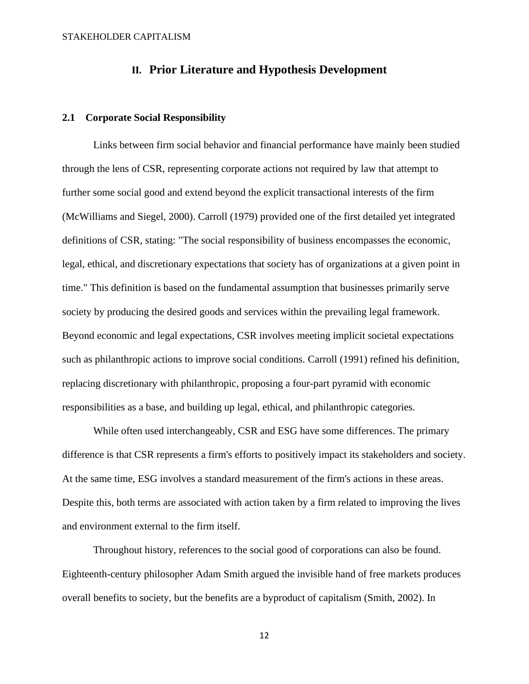### **II. Prior Literature and Hypothesis Development**

### <span id="page-12-1"></span><span id="page-12-0"></span>**2.1 Corporate Social Responsibility**

Links between firm social behavior and financial performance have mainly been studied through the lens of CSR, representing corporate actions not required by law that attempt to further some social good and extend beyond the explicit transactional interests of the firm (McWilliams and Siegel, 2000). Carroll (1979) provided one of the first detailed yet integrated definitions of CSR, stating: "The social responsibility of business encompasses the economic, legal, ethical, and discretionary expectations that society has of organizations at a given point in time." This definition is based on the fundamental assumption that businesses primarily serve society by producing the desired goods and services within the prevailing legal framework. Beyond economic and legal expectations, CSR involves meeting implicit societal expectations such as philanthropic actions to improve social conditions. Carroll (1991) refined his definition, replacing discretionary with philanthropic, proposing a four-part pyramid with economic responsibilities as a base, and building up legal, ethical, and philanthropic categories.

While often used interchangeably, CSR and ESG have some differences. The primary difference is that CSR represents a firm's efforts to positively impact its stakeholders and society. At the same time, ESG involves a standard measurement of the firm's actions in these areas. Despite this, both terms are associated with action taken by a firm related to improving the lives and environment external to the firm itself.

Throughout history, references to the social good of corporations can also be found. Eighteenth-century philosopher Adam Smith argued the invisible hand of free markets produces overall benefits to society, but the benefits are a byproduct of capitalism (Smith, 2002). In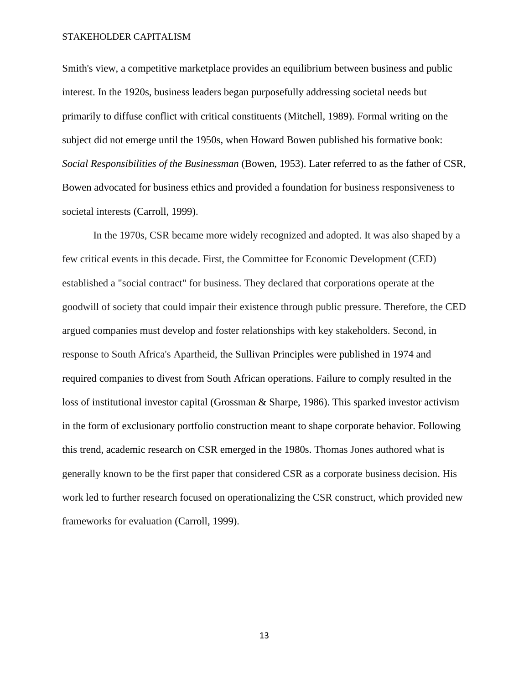Smith's view, a competitive marketplace provides an equilibrium between business and public interest. In the 1920s, business leaders began purposefully addressing societal needs but primarily to diffuse conflict with critical constituents (Mitchell, 1989). Formal writing on the subject did not emerge until the 1950s, when Howard Bowen published his formative book: *Social Responsibilities of the Businessman* (Bowen, 1953). Later referred to as the father of CSR, Bowen advocated for business ethics and provided a foundation for business responsiveness to societal interests (Carroll, 1999).

In the 1970s, CSR became more widely recognized and adopted. It was also shaped by a few critical events in this decade. First, the Committee for Economic Development (CED) established a "social contract" for business. They declared that corporations operate at the goodwill of society that could impair their existence through public pressure. Therefore, the CED argued companies must develop and foster relationships with key stakeholders. Second, in response to South Africa's Apartheid, the Sullivan Principles were published in 1974 and required companies to divest from South African operations. Failure to comply resulted in the loss of institutional investor capital (Grossman & Sharpe, 1986). This sparked investor activism in the form of exclusionary portfolio construction meant to shape corporate behavior. Following this trend, academic research on CSR emerged in the 1980s. Thomas Jones authored what is generally known to be the first paper that considered CSR as a corporate business decision. His work led to further research focused on operationalizing the CSR construct, which provided new frameworks for evaluation (Carroll, 1999).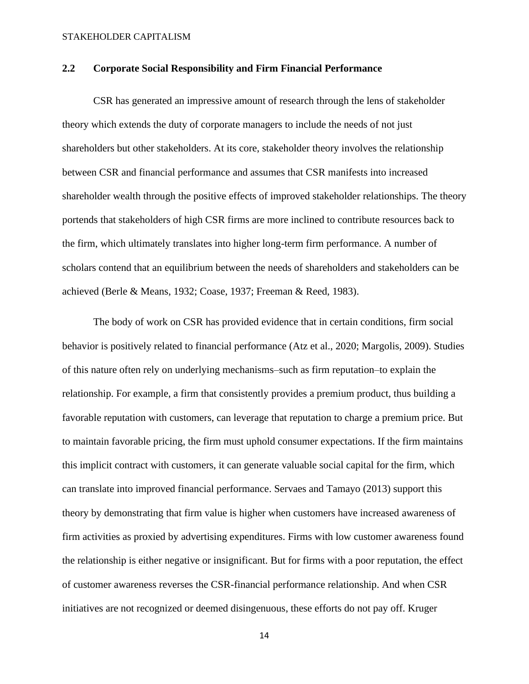### <span id="page-14-0"></span>**2.2 Corporate Social Responsibility and Firm Financial Performance**

CSR has generated an impressive amount of research through the lens of stakeholder theory which extends the duty of corporate managers to include the needs of not just shareholders but other stakeholders. At its core, stakeholder theory involves the relationship between CSR and financial performance and assumes that CSR manifests into increased shareholder wealth through the positive effects of improved stakeholder relationships. The theory portends that stakeholders of high CSR firms are more inclined to contribute resources back to the firm, which ultimately translates into higher long-term firm performance. A number of scholars contend that an equilibrium between the needs of shareholders and stakeholders can be achieved (Berle & Means, 1932; Coase, 1937; Freeman & Reed, 1983).

The body of work on CSR has provided evidence that in certain conditions, firm social behavior is positively related to financial performance (Atz et al., 2020; Margolis, 2009). Studies of this nature often rely on underlying mechanisms–such as firm reputation–to explain the relationship. For example, a firm that consistently provides a premium product, thus building a favorable reputation with customers, can leverage that reputation to charge a premium price. But to maintain favorable pricing, the firm must uphold consumer expectations. If the firm maintains this implicit contract with customers, it can generate valuable social capital for the firm, which can translate into improved financial performance. Servaes and Tamayo (2013) support this theory by demonstrating that firm value is higher when customers have increased awareness of firm activities as proxied by advertising expenditures. Firms with low customer awareness found the relationship is either negative or insignificant. But for firms with a poor reputation, the effect of customer awareness reverses the CSR-financial performance relationship. And when CSR initiatives are not recognized or deemed disingenuous, these efforts do not pay off. Kruger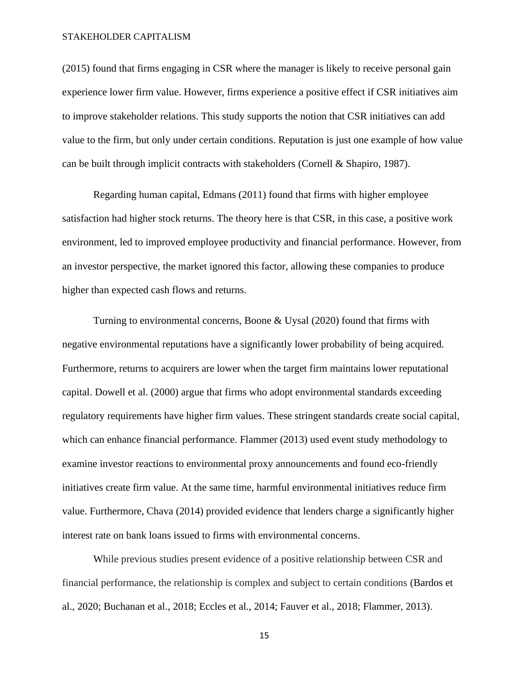(2015) found that firms engaging in CSR where the manager is likely to receive personal gain experience lower firm value. However, firms experience a positive effect if CSR initiatives aim to improve stakeholder relations. This study supports the notion that CSR initiatives can add value to the firm, but only under certain conditions. Reputation is just one example of how value can be built through implicit contracts with stakeholders (Cornell & Shapiro, 1987).

Regarding human capital, Edmans (2011) found that firms with higher employee satisfaction had higher stock returns. The theory here is that CSR, in this case, a positive work environment, led to improved employee productivity and financial performance. However, from an investor perspective, the market ignored this factor, allowing these companies to produce higher than expected cash flows and returns.

Turning to environmental concerns, Boone & Uysal (2020) found that firms with negative environmental reputations have a significantly lower probability of being acquired. Furthermore, returns to acquirers are lower when the target firm maintains lower reputational capital. Dowell et al. (2000) argue that firms who adopt environmental standards exceeding regulatory requirements have higher firm values. These stringent standards create social capital, which can enhance financial performance. Flammer (2013) used event study methodology to examine investor reactions to environmental proxy announcements and found eco-friendly initiatives create firm value. At the same time, harmful environmental initiatives reduce firm value. Furthermore, Chava (2014) provided evidence that lenders charge a significantly higher interest rate on bank loans issued to firms with environmental concerns.

While previous studies present evidence of a positive relationship between CSR and financial performance, the relationship is complex and subject to certain conditions (Bardos et al., 2020; Buchanan et al., 2018; Eccles et al., 2014; Fauver et al., 2018; Flammer, 2013).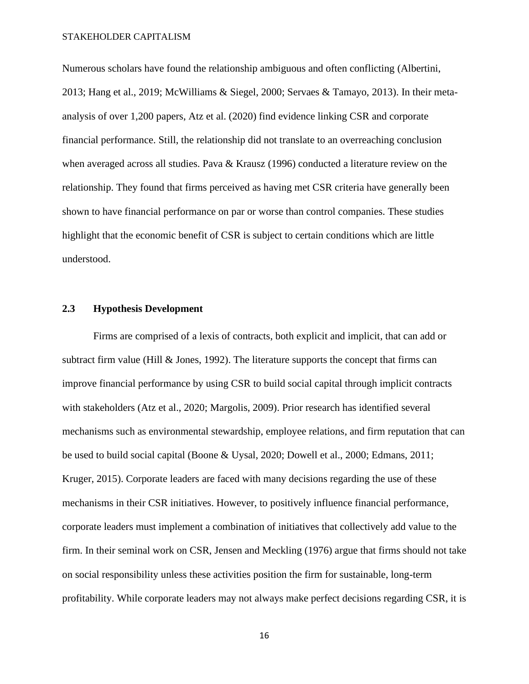Numerous scholars have found the relationship ambiguous and often conflicting (Albertini, 2013; Hang et al., 2019; McWilliams & Siegel, 2000; Servaes & Tamayo, 2013). In their metaanalysis of over 1,200 papers, Atz et al. (2020) find evidence linking CSR and corporate financial performance. Still, the relationship did not translate to an overreaching conclusion when averaged across all studies. Pava & Krausz (1996) conducted a literature review on the relationship. They found that firms perceived as having met CSR criteria have generally been shown to have financial performance on par or worse than control companies. These studies highlight that the economic benefit of CSR is subject to certain conditions which are little understood.

### <span id="page-16-0"></span>**2.3 Hypothesis Development**

Firms are comprised of a lexis of contracts, both explicit and implicit, that can add or subtract firm value (Hill & Jones, 1992). The literature supports the concept that firms can improve financial performance by using CSR to build social capital through implicit contracts with stakeholders (Atz et al., 2020; Margolis, 2009). Prior research has identified several mechanisms such as environmental stewardship, employee relations, and firm reputation that can be used to build social capital (Boone & Uysal, 2020; Dowell et al., 2000; Edmans, 2011; Kruger, 2015). Corporate leaders are faced with many decisions regarding the use of these mechanisms in their CSR initiatives. However, to positively influence financial performance, corporate leaders must implement a combination of initiatives that collectively add value to the firm. In their seminal work on CSR, Jensen and Meckling (1976) argue that firms should not take on social responsibility unless these activities position the firm for sustainable, long-term profitability. While corporate leaders may not always make perfect decisions regarding CSR, it is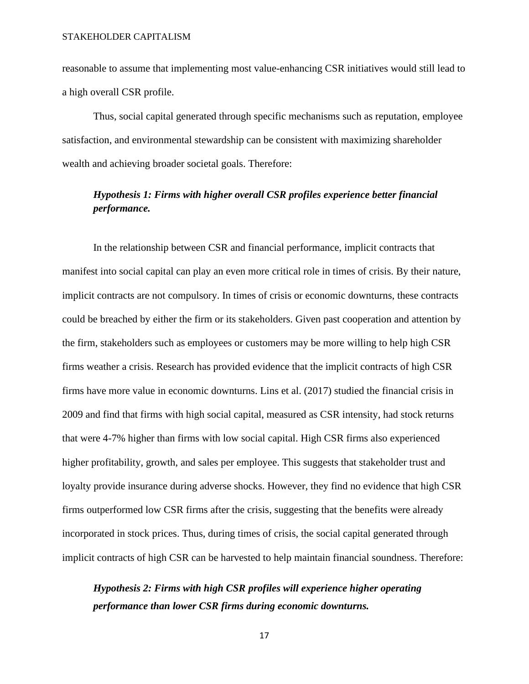reasonable to assume that implementing most value-enhancing CSR initiatives would still lead to a high overall CSR profile.

Thus, social capital generated through specific mechanisms such as reputation, employee satisfaction, and environmental stewardship can be consistent with maximizing shareholder wealth and achieving broader societal goals. Therefore:

## *Hypothesis 1: Firms with higher overall CSR profiles experience better financial performance.*

In the relationship between CSR and financial performance, implicit contracts that manifest into social capital can play an even more critical role in times of crisis. By their nature, implicit contracts are not compulsory. In times of crisis or economic downturns, these contracts could be breached by either the firm or its stakeholders. Given past cooperation and attention by the firm, stakeholders such as employees or customers may be more willing to help high CSR firms weather a crisis. Research has provided evidence that the implicit contracts of high CSR firms have more value in economic downturns. Lins et al. (2017) studied the financial crisis in 2009 and find that firms with high social capital, measured as CSR intensity, had stock returns that were 4-7% higher than firms with low social capital. High CSR firms also experienced higher profitability, growth, and sales per employee. This suggests that stakeholder trust and loyalty provide insurance during adverse shocks. However, they find no evidence that high CSR firms outperformed low CSR firms after the crisis, suggesting that the benefits were already incorporated in stock prices. Thus, during times of crisis, the social capital generated through implicit contracts of high CSR can be harvested to help maintain financial soundness. Therefore:

## *Hypothesis 2: Firms with high CSR profiles will experience higher operating performance than lower CSR firms during economic downturns.*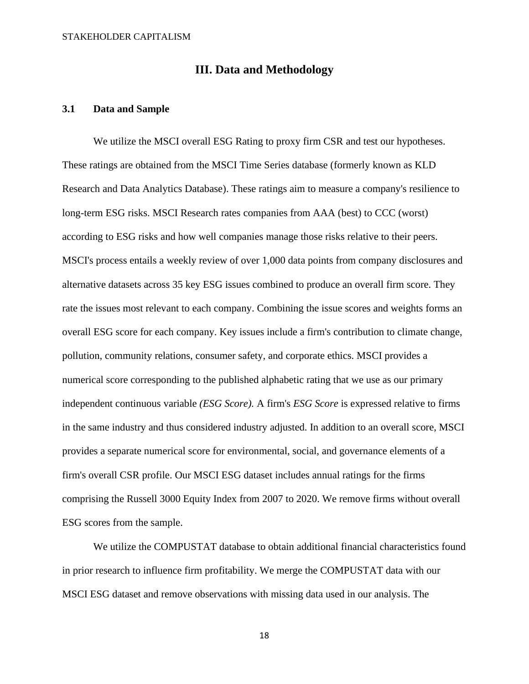### **III. Data and Methodology**

### <span id="page-18-1"></span><span id="page-18-0"></span>**3.1 Data and Sample**

We utilize the MSCI overall ESG Rating to proxy firm CSR and test our hypotheses. These ratings are obtained from the MSCI Time Series database (formerly known as KLD Research and Data Analytics Database). These ratings aim to measure a company's resilience to long-term ESG risks. MSCI Research rates companies from AAA (best) to CCC (worst) according to ESG risks and how well companies manage those risks relative to their peers. MSCI's process entails a weekly review of over 1,000 data points from company disclosures and alternative datasets across 35 key ESG issues combined to produce an overall firm score. They rate the issues most relevant to each company. Combining the issue scores and weights forms an overall ESG score for each company. Key issues include a firm's contribution to climate change, pollution, community relations, consumer safety, and corporate ethics. MSCI provides a numerical score corresponding to the published alphabetic rating that we use as our primary independent continuous variable *(ESG Score).* A firm's *ESG Score* is expressed relative to firms in the same industry and thus considered industry adjusted. In addition to an overall score, MSCI provides a separate numerical score for environmental, social, and governance elements of a firm's overall CSR profile. Our MSCI ESG dataset includes annual ratings for the firms comprising the Russell 3000 Equity Index from 2007 to 2020. We remove firms without overall ESG scores from the sample.

We utilize the COMPUSTAT database to obtain additional financial characteristics found in prior research to influence firm profitability. We merge the COMPUSTAT data with our MSCI ESG dataset and remove observations with missing data used in our analysis. The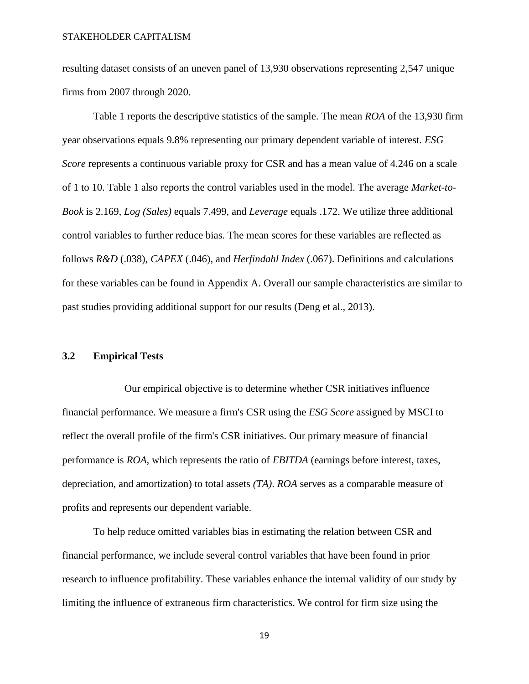resulting dataset consists of an uneven panel of 13,930 observations representing 2,547 unique firms from 2007 through 2020.

Table 1 reports the descriptive statistics of the sample. The mean *ROA* of the 13,930 firm year observations equals 9.8% representing our primary dependent variable of interest. *ESG Score* represents a continuous variable proxy for CSR and has a mean value of 4.246 on a scale of 1 to 10. Table 1 also reports the control variables used in the model. The average *Market-to-Book* is 2.169, *Log (Sales)* equals 7.499, and *Leverage* equals .172. We utilize three additional control variables to further reduce bias. The mean scores for these variables are reflected as follows *R&D* (.038), *CAPEX* (.046), and *Herfindahl Index* (.067). Definitions and calculations for these variables can be found in Appendix A. Overall our sample characteristics are similar to past studies providing additional support for our results (Deng et al., 2013).

### <span id="page-19-0"></span>**3.2 Empirical Tests**

Our empirical objective is to determine whether CSR initiatives influence financial performance. We measure a firm's CSR using the *ESG Score* assigned by MSCI to reflect the overall profile of the firm's CSR initiatives. Our primary measure of financial performance is *ROA,* which represents the ratio of *EBITDA* (earnings before interest, taxes, depreciation, and amortization) to total assets *(TA)*. *ROA* serves as a comparable measure of profits and represents our dependent variable.

To help reduce omitted variables bias in estimating the relation between CSR and financial performance, we include several control variables that have been found in prior research to influence profitability. These variables enhance the internal validity of our study by limiting the influence of extraneous firm characteristics. We control for firm size using the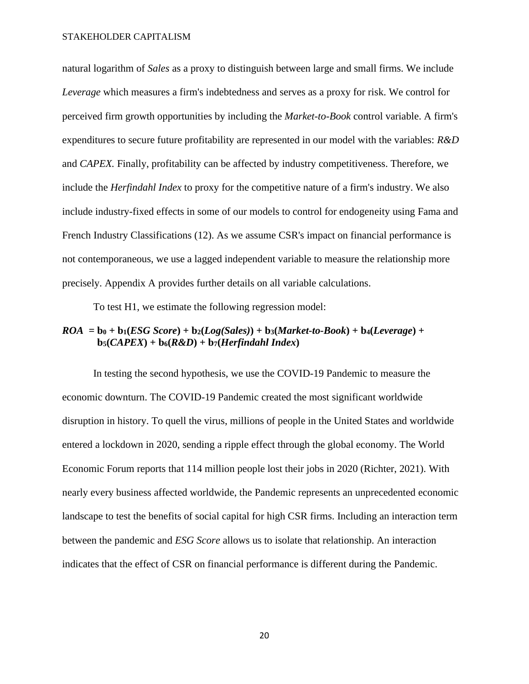natural logarithm of *Sales* as a proxy to distinguish between large and small firms. We include *Leverage* which measures a firm's indebtedness and serves as a proxy for risk. We control for perceived firm growth opportunities by including the *Market-to-Book* control variable. A firm's expenditures to secure future profitability are represented in our model with the variables: *R&D* and *CAPEX.* Finally, profitability can be affected by industry competitiveness. Therefore, we include the *Herfindahl Index* to proxy for the competitive nature of a firm's industry. We also include industry-fixed effects in some of our models to control for endogeneity using Fama and French Industry Classifications (12). As we assume CSR's impact on financial performance is not contemporaneous, we use a lagged independent variable to measure the relationship more precisely. Appendix A provides further details on all variable calculations.

To test H1, we estimate the following regression model:

### $ROA = b_0 + b_1(ESG Score) + b_2(Log(Sales)) + b_3(Market-to-Book) + b_4(Leverage) +$  $\mathbf{b}_5$ (*CAPEX*) +  $\mathbf{b}_6$ (*R&D*) +  $\mathbf{b}_7$ (*Herfindahl Index*)

In testing the second hypothesis, we use the COVID-19 Pandemic to measure the economic downturn. The COVID-19 Pandemic created the most significant worldwide disruption in history. To quell the virus, millions of people in the United States and worldwide entered a lockdown in 2020, sending a ripple effect through the global economy. The World Economic Forum reports that 114 million people lost their jobs in 2020 (Richter, 2021). With nearly every business affected worldwide, the Pandemic represents an unprecedented economic landscape to test the benefits of social capital for high CSR firms. Including an interaction term between the pandemic and *ESG Score* allows us to isolate that relationship. An interaction indicates that the effect of CSR on financial performance is different during the Pandemic.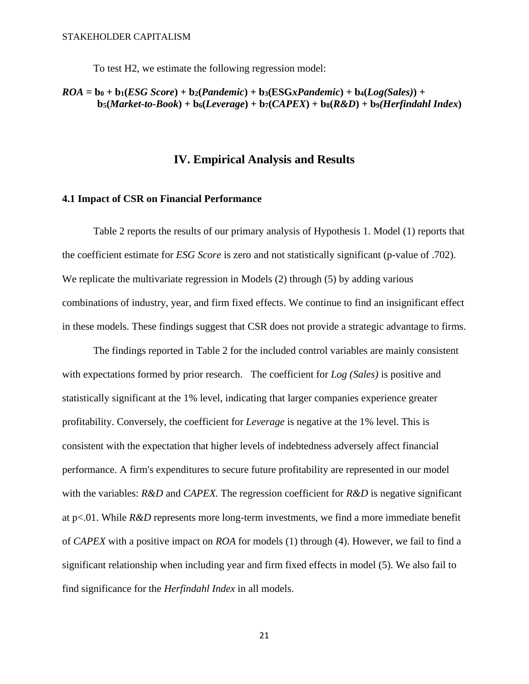To test H2, we estimate the following regression model:

### $ROA = b_0 + b_1(ESG Score) + b_2(Pandemic) + b_3(ESGxPandemic) + b_4(Log(Sales)) +$  $b_5(Market-to-Book) + b_6(Leverage) + b_7(CAPEX) + b_8(R&D) + b_9(Herfindahl Index)$

### **IV. Empirical Analysis and Results**

### <span id="page-21-1"></span><span id="page-21-0"></span>**4.1 Impact of CSR on Financial Performance**

Table 2 reports the results of our primary analysis of Hypothesis 1. Model (1) reports that the coefficient estimate for *ESG Score* is zero and not statistically significant (p-value of .702). We replicate the multivariate regression in Models (2) through (5) by adding various combinations of industry, year, and firm fixed effects. We continue to find an insignificant effect in these models. These findings suggest that CSR does not provide a strategic advantage to firms.

The findings reported in Table 2 for the included control variables are mainly consistent with expectations formed by prior research. The coefficient for *Log (Sales)* is positive and statistically significant at the 1% level, indicating that larger companies experience greater profitability. Conversely, the coefficient for *Leverage* is negative at the 1% level. This is consistent with the expectation that higher levels of indebtedness adversely affect financial performance. A firm's expenditures to secure future profitability are represented in our model with the variables: *R&D* and *CAPEX.* The regression coefficient for *R&D* is negative significant at p<.01. While *R&D* represents more long-term investments, we find a more immediate benefit of *CAPEX* with a positive impact on *ROA* for models (1) through (4). However, we fail to find a significant relationship when including year and firm fixed effects in model (5). We also fail to find significance for the *Herfindahl Index* in all models.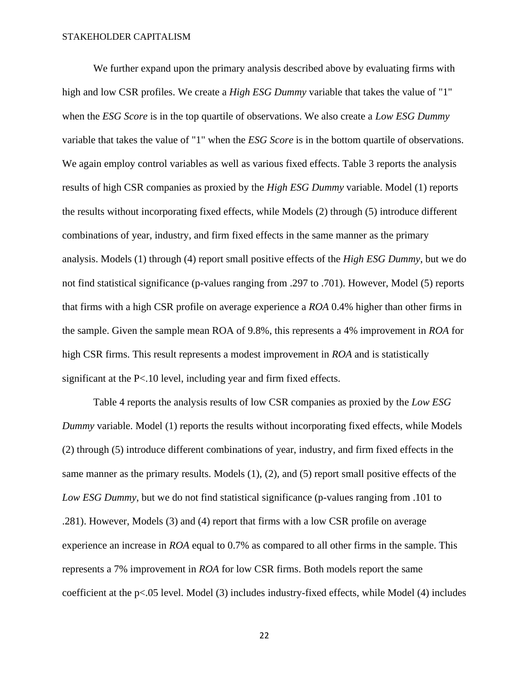We further expand upon the primary analysis described above by evaluating firms with high and low CSR profiles. We create a *High ESG Dummy* variable that takes the value of "1" when the *ESG Score* is in the top quartile of observations. We also create a *Low ESG Dummy* variable that takes the value of "1" when the *ESG Score* is in the bottom quartile of observations. We again employ control variables as well as various fixed effects. Table 3 reports the analysis results of high CSR companies as proxied by the *High ESG Dummy* variable. Model (1) reports the results without incorporating fixed effects, while Models (2) through (5) introduce different combinations of year, industry, and firm fixed effects in the same manner as the primary analysis. Models (1) through (4) report small positive effects of the *High ESG Dummy*, but we do not find statistical significance (p-values ranging from .297 to .701). However, Model (5) reports that firms with a high CSR profile on average experience a *ROA* 0.4% higher than other firms in the sample. Given the sample mean ROA of 9.8%, this represents a 4% improvement in *ROA* for high CSR firms. This result represents a modest improvement in *ROA* and is statistically significant at the P<.10 level, including year and firm fixed effects.

Table 4 reports the analysis results of low CSR companies as proxied by the *Low ESG Dummy* variable. Model (1) reports the results without incorporating fixed effects, while Models (2) through (5) introduce different combinations of year, industry, and firm fixed effects in the same manner as the primary results. Models (1), (2), and (5) report small positive effects of the *Low ESG Dummy*, but we do not find statistical significance (p-values ranging from .101 to .281). However, Models (3) and (4) report that firms with a low CSR profile on average experience an increase in *ROA* equal to 0.7% as compared to all other firms in the sample. This represents a 7% improvement in *ROA* for low CSR firms. Both models report the same coefficient at the p<.05 level. Model (3) includes industry-fixed effects, while Model (4) includes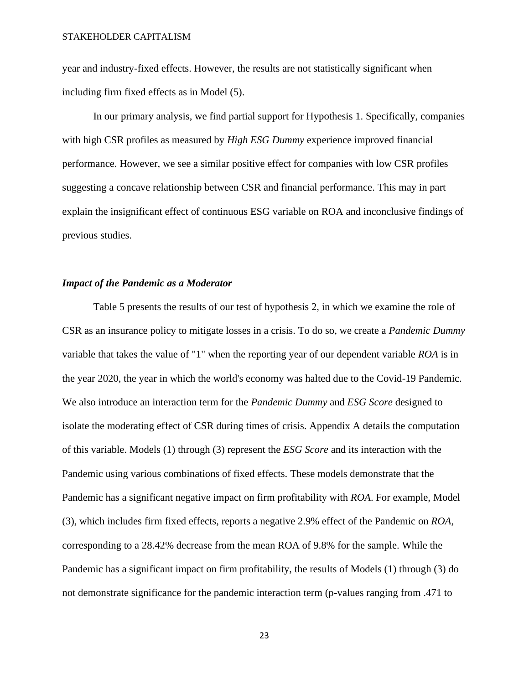year and industry-fixed effects. However, the results are not statistically significant when including firm fixed effects as in Model (5).

In our primary analysis, we find partial support for Hypothesis 1. Specifically, companies with high CSR profiles as measured by *High ESG Dummy* experience improved financial performance. However, we see a similar positive effect for companies with low CSR profiles suggesting a concave relationship between CSR and financial performance. This may in part explain the insignificant effect of continuous ESG variable on ROA and inconclusive findings of previous studies.

#### *Impact of the Pandemic as a Moderator*

Table 5 presents the results of our test of hypothesis 2, in which we examine the role of CSR as an insurance policy to mitigate losses in a crisis. To do so, we create a *Pandemic Dummy* variable that takes the value of "1" when the reporting year of our dependent variable *ROA* is in the year 2020, the year in which the world's economy was halted due to the Covid-19 Pandemic. We also introduce an interaction term for the *Pandemic Dummy* and *ESG Score* designed to isolate the moderating effect of CSR during times of crisis. Appendix A details the computation of this variable. Models (1) through (3) represent the *ESG Score* and its interaction with the Pandemic using various combinations of fixed effects. These models demonstrate that the Pandemic has a significant negative impact on firm profitability with *ROA*. For example, Model (3), which includes firm fixed effects, reports a negative 2.9% effect of the Pandemic on *ROA,* corresponding to a 28.42% decrease from the mean ROA of 9.8% for the sample. While the Pandemic has a significant impact on firm profitability, the results of Models (1) through (3) do not demonstrate significance for the pandemic interaction term (p-values ranging from .471 to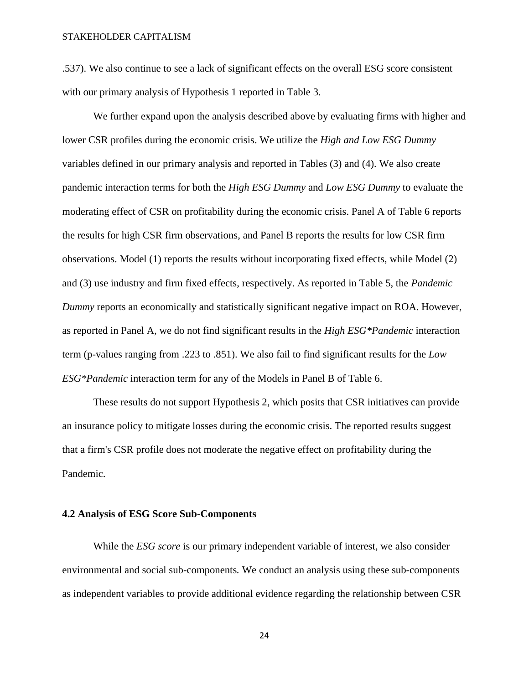.537). We also continue to see a lack of significant effects on the overall ESG score consistent with our primary analysis of Hypothesis 1 reported in Table 3.

We further expand upon the analysis described above by evaluating firms with higher and lower CSR profiles during the economic crisis. We utilize the *High and Low ESG Dummy* variables defined in our primary analysis and reported in Tables (3) and (4). We also create pandemic interaction terms for both the *High ESG Dummy* and *Low ESG Dummy* to evaluate the moderating effect of CSR on profitability during the economic crisis. Panel A of Table 6 reports the results for high CSR firm observations, and Panel B reports the results for low CSR firm observations. Model (1) reports the results without incorporating fixed effects, while Model (2) and (3) use industry and firm fixed effects, respectively. As reported in Table 5, the *Pandemic Dummy* reports an economically and statistically significant negative impact on ROA. However, as reported in Panel A, we do not find significant results in the *High ESG\*Pandemic* interaction term (p-values ranging from .223 to .851). We also fail to find significant results for the *Low ESG\*Pandemic* interaction term for any of the Models in Panel B of Table 6.

These results do not support Hypothesis 2, which posits that CSR initiatives can provide an insurance policy to mitigate losses during the economic crisis. The reported results suggest that a firm's CSR profile does not moderate the negative effect on profitability during the Pandemic.

#### <span id="page-24-0"></span>**4.2 Analysis of ESG Score Sub-Components**

While the *ESG score* is our primary independent variable of interest, we also consider environmental and social sub-components*.* We conduct an analysis using these sub-components as independent variables to provide additional evidence regarding the relationship between CSR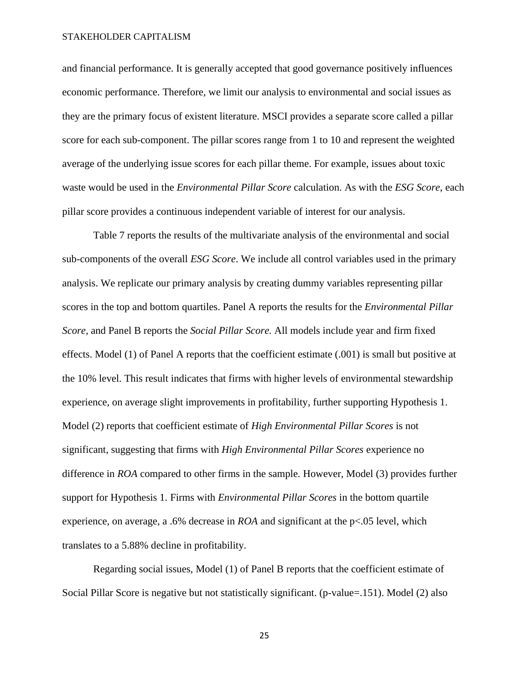and financial performance. It is generally accepted that good governance positively influences economic performance. Therefore, we limit our analysis to environmental and social issues as they are the primary focus of existent literature. MSCI provides a separate score called a pillar score for each sub-component. The pillar scores range from 1 to 10 and represent the weighted average of the underlying issue scores for each pillar theme. For example, issues about toxic waste would be used in the *Environmental Pillar Score* calculation. As with the *ESG Score*, each pillar score provides a continuous independent variable of interest for our analysis.

Table 7 reports the results of the multivariate analysis of the environmental and social sub-components of the overall *ESG Score*. We include all control variables used in the primary analysis. We replicate our primary analysis by creating dummy variables representing pillar scores in the top and bottom quartiles. Panel A reports the results for the *Environmental Pillar Score,* and Panel B reports the *Social Pillar Score.* All models include year and firm fixed effects. Model (1) of Panel A reports that the coefficient estimate (.001) is small but positive at the 10% level. This result indicates that firms with higher levels of environmental stewardship experience, on average slight improvements in profitability, further supporting Hypothesis 1. Model (2) reports that coefficient estimate of *High Environmental Pillar Scores* is not significant, suggesting that firms with *High Environmental Pillar Scores* experience no difference in *ROA* compared to other firms in the sample*.* However, Model (3) provides further support for Hypothesis 1. Firms with *Environmental Pillar Scores* in the bottom quartile experience, on average, a .6% decrease in *ROA* and significant at the p<.05 level, which translates to a 5.88% decline in profitability.

Regarding social issues, Model (1) of Panel B reports that the coefficient estimate of Social Pillar Score is negative but not statistically significant. (p-value=.151). Model (2) also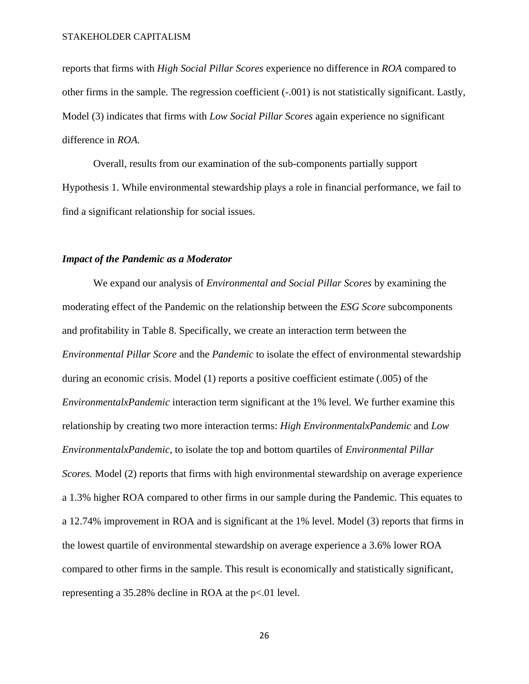reports that firms with *High Social Pillar Scores* experience no difference in *ROA* compared to other firms in the sample*.* The regression coefficient (-.001) is not statistically significant. Lastly, Model (3) indicates that firms with *Low Social Pillar Scores* again experience no significant difference in *ROA.*

Overall, results from our examination of the sub-components partially support Hypothesis 1. While environmental stewardship plays a role in financial performance, we fail to find a significant relationship for social issues.

#### *Impact of the Pandemic as a Moderator*

We expand our analysis of *Environmental and Social Pillar Scores* by examining the moderating effect of the Pandemic on the relationship between the *ESG Score* subcomponents and profitability in Table 8. Specifically, we create an interaction term between the *Environmental Pillar Score* and the *Pandemic* to isolate the effect of environmental stewardship during an economic crisis. Model (1) reports a positive coefficient estimate (.005) of the *EnvironmentalxPandemic* interaction term significant at the 1% level*.* We further examine this relationship by creating two more interaction terms: *High EnvironmentalxPandemic* and *Low EnvironmentalxPandemic,* to isolate the top and bottom quartiles of *Environmental Pillar Scores.* Model (2) reports that firms with high environmental stewardship on average experience a 1.3% higher ROA compared to other firms in our sample during the Pandemic. This equates to a 12.74% improvement in ROA and is significant at the 1% level. Model (3) reports that firms in the lowest quartile of environmental stewardship on average experience a 3.6% lower ROA compared to other firms in the sample. This result is economically and statistically significant, representing a 35.28% decline in ROA at the p<.01 level.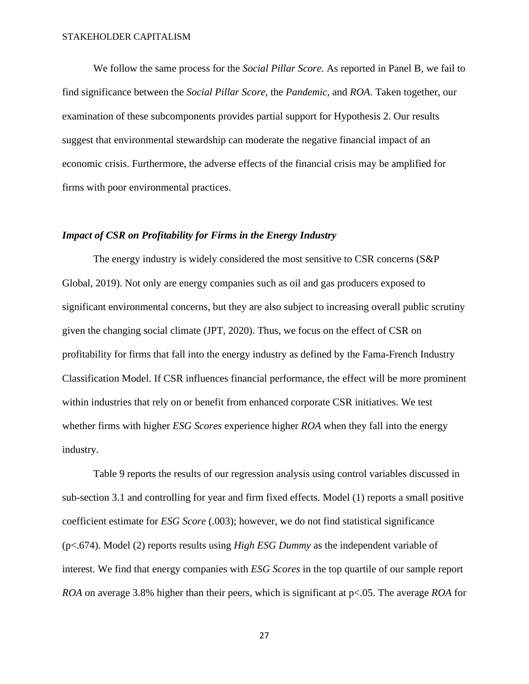We follow the same process for the *Social Pillar Score*. As reported in Panel B, we fail to find significance between the *Social Pillar Score*, the *Pandemic*, and *ROA*. Taken together, our examination of these subcomponents provides partial support for Hypothesis 2. Our results suggest that environmental stewardship can moderate the negative financial impact of an economic crisis. Furthermore, the adverse effects of the financial crisis may be amplified for firms with poor environmental practices.

### *Impact of CSR on Profitability for Firms in the Energy Industry*

The energy industry is widely considered the most sensitive to CSR concerns (S&P Global, 2019). Not only are energy companies such as oil and gas producers exposed to significant environmental concerns, but they are also subject to increasing overall public scrutiny given the changing social climate (JPT, 2020). Thus, we focus on the effect of CSR on profitability for firms that fall into the energy industry as defined by the Fama-French Industry Classification Model. If CSR influences financial performance, the effect will be more prominent within industries that rely on or benefit from enhanced corporate CSR initiatives. We test whether firms with higher *ESG Scores* experience higher *ROA* when they fall into the energy industry.

Table 9 reports the results of our regression analysis using control variables discussed in sub-section 3.1 and controlling for year and firm fixed effects. Model (1) reports a small positive coefficient estimate for *ESG Score* (.003); however, we do not find statistical significance (p<.674). Model (2) reports results using *High ESG Dummy* as the independent variable of interest. We find that energy companies with *ESG Scores* in the top quartile of our sample report *ROA* on average 3.8% higher than their peers, which is significant at p<.05. The average *ROA* for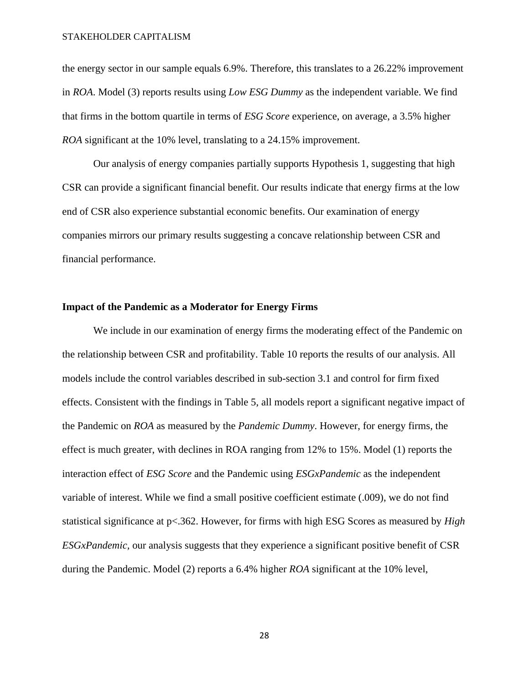the energy sector in our sample equals 6.9%. Therefore, this translates to a 26.22% improvement in *ROA*. Model (3) reports results using *Low ESG Dummy* as the independent variable. We find that firms in the bottom quartile in terms of *ESG Score* experience, on average, a 3.5% higher *ROA* significant at the 10% level, translating to a 24.15% improvement.

Our analysis of energy companies partially supports Hypothesis 1, suggesting that high CSR can provide a significant financial benefit. Our results indicate that energy firms at the low end of CSR also experience substantial economic benefits. Our examination of energy companies mirrors our primary results suggesting a concave relationship between CSR and financial performance.

#### **Impact of the Pandemic as a Moderator for Energy Firms**

We include in our examination of energy firms the moderating effect of the Pandemic on the relationship between CSR and profitability. Table 10 reports the results of our analysis. All models include the control variables described in sub-section 3.1 and control for firm fixed effects. Consistent with the findings in Table 5, all models report a significant negative impact of the Pandemic on *ROA* as measured by the *Pandemic Dummy*. However, for energy firms, the effect is much greater, with declines in ROA ranging from 12% to 15%. Model (1) reports the interaction effect of *ESG Score* and the Pandemic using *ESGxPandemic* as the independent variable of interest. While we find a small positive coefficient estimate (.009), we do not find statistical significance at p<.362. However, for firms with high ESG Scores as measured by *High ESGxPandemic,* our analysis suggests that they experience a significant positive benefit of CSR during the Pandemic. Model (2) reports a 6.4% higher *ROA* significant at the 10% level,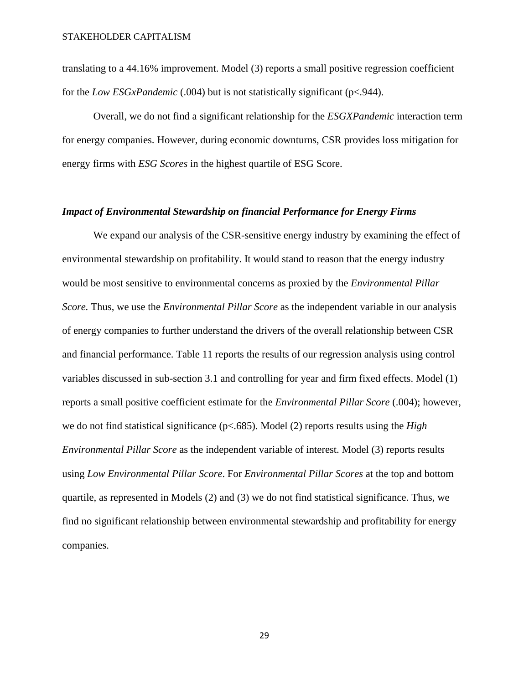translating to a 44.16% improvement. Model (3) reports a small positive regression coefficient for the *Low ESGxPandemic* (.004) but is not statistically significant (p<.944).

Overall, we do not find a significant relationship for the *ESGXPandemic* interaction term for energy companies. However, during economic downturns, CSR provides loss mitigation for energy firms with *ESG Scores* in the highest quartile of ESG Score.

#### *Impact of Environmental Stewardship on financial Performance for Energy Firms*

We expand our analysis of the CSR-sensitive energy industry by examining the effect of environmental stewardship on profitability. It would stand to reason that the energy industry would be most sensitive to environmental concerns as proxied by the *Environmental Pillar Score.* Thus, we use the *Environmental Pillar Score* as the independent variable in our analysis of energy companies to further understand the drivers of the overall relationship between CSR and financial performance. Table 11 reports the results of our regression analysis using control variables discussed in sub-section 3.1 and controlling for year and firm fixed effects. Model (1) reports a small positive coefficient estimate for the *Environmental Pillar Score* (.004); however, we do not find statistical significance (p<.685). Model (2) reports results using the *High Environmental Pillar Score* as the independent variable of interest. Model (3) reports results using *Low Environmental Pillar Score*. For *Environmental Pillar Scores* at the top and bottom quartile, as represented in Models (2) and (3) we do not find statistical significance. Thus, we find no significant relationship between environmental stewardship and profitability for energy companies.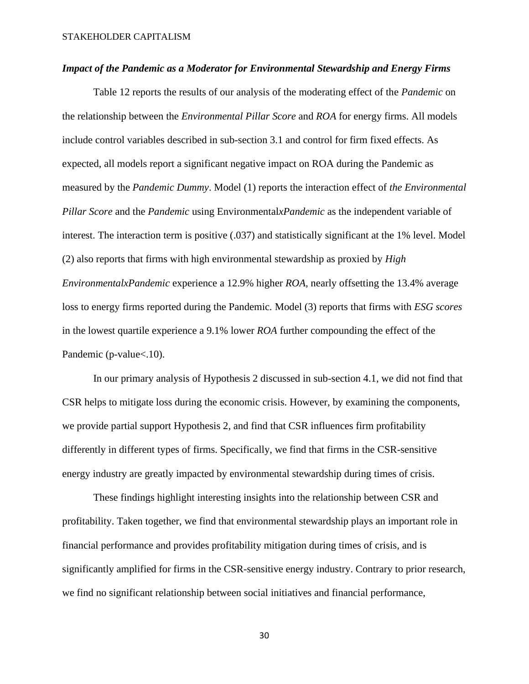#### *Impact of the Pandemic as a Moderator for Environmental Stewardship and Energy Firms*

Table 12 reports the results of our analysis of the moderating effect of the *Pandemic* on the relationship between the *Environmental Pillar Score* and *ROA* for energy firms. All models include control variables described in sub-section 3.1 and control for firm fixed effects. As expected, all models report a significant negative impact on ROA during the Pandemic as measured by the *Pandemic Dummy*. Model (1) reports the interaction effect of *the Environmental Pillar Score* and the *Pandemic* using Environmental*xPandemic* as the independent variable of interest. The interaction term is positive (.037) and statistically significant at the 1% level. Model (2) also reports that firms with high environmental stewardship as proxied by *High EnvironmentalxPandemic* experience a 12.9% higher *ROA,* nearly offsetting the 13.4% average loss to energy firms reported during the Pandemic*.* Model (3) reports that firms with *ESG scores* in the lowest quartile experience a 9.1% lower *ROA* further compounding the effect of the Pandemic (p-value <. 10).

In our primary analysis of Hypothesis 2 discussed in sub-section 4.1, we did not find that CSR helps to mitigate loss during the economic crisis. However, by examining the components, we provide partial support Hypothesis 2, and find that CSR influences firm profitability differently in different types of firms. Specifically, we find that firms in the CSR-sensitive energy industry are greatly impacted by environmental stewardship during times of crisis.

These findings highlight interesting insights into the relationship between CSR and profitability. Taken together, we find that environmental stewardship plays an important role in financial performance and provides profitability mitigation during times of crisis, and is significantly amplified for firms in the CSR-sensitive energy industry. Contrary to prior research, we find no significant relationship between social initiatives and financial performance,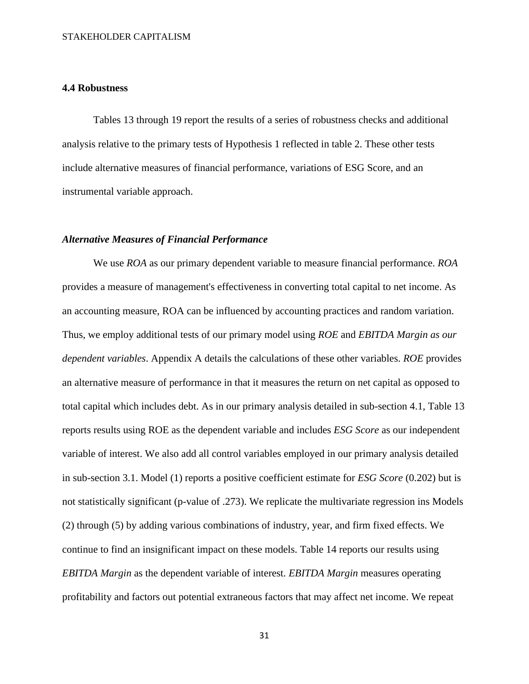#### <span id="page-31-0"></span>**4.4 Robustness**

Tables 13 through 19 report the results of a series of robustness checks and additional analysis relative to the primary tests of Hypothesis 1 reflected in table 2. These other tests include alternative measures of financial performance, variations of ESG Score, and an instrumental variable approach.

#### *Alternative Measures of Financial Performance*

We use *ROA* as our primary dependent variable to measure financial performance. *ROA* provides a measure of management's effectiveness in converting total capital to net income. As an accounting measure, ROA can be influenced by accounting practices and random variation. Thus, we employ additional tests of our primary model using *ROE* and *EBITDA Margin as our dependent variables*. Appendix A details the calculations of these other variables. *ROE* provides an alternative measure of performance in that it measures the return on net capital as opposed to total capital which includes debt. As in our primary analysis detailed in sub-section 4.1, Table 13 reports results using ROE as the dependent variable and includes *ESG Score* as our independent variable of interest. We also add all control variables employed in our primary analysis detailed in sub-section 3.1. Model (1) reports a positive coefficient estimate for *ESG Score* (0.202) but is not statistically significant (p-value of .273). We replicate the multivariate regression ins Models (2) through (5) by adding various combinations of industry, year, and firm fixed effects. We continue to find an insignificant impact on these models. Table 14 reports our results using *EBITDA Margin* as the dependent variable of interest. *EBITDA Margin* measures operating profitability and factors out potential extraneous factors that may affect net income. We repeat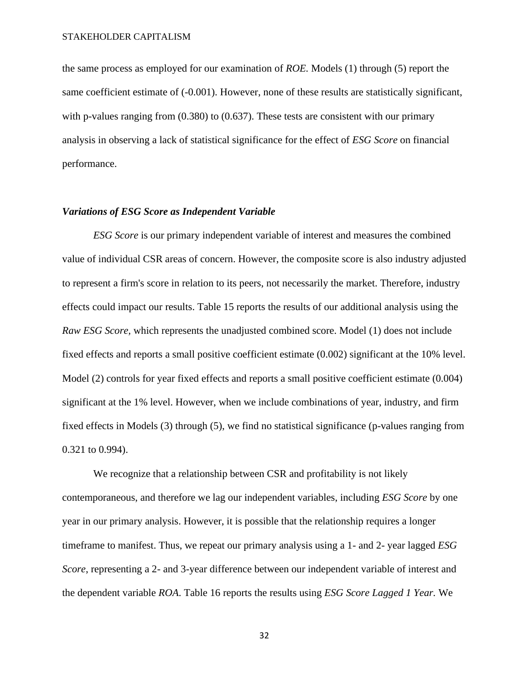the same process as employed for our examination of *ROE.* Models (1) through (5) report the same coefficient estimate of (-0.001). However, none of these results are statistically significant, with p-values ranging from  $(0.380)$  to  $(0.637)$ . These tests are consistent with our primary analysis in observing a lack of statistical significance for the effect of *ESG Score* on financial performance.

#### *Variations of ESG Score as Independent Variable*

*ESG Score* is our primary independent variable of interest and measures the combined value of individual CSR areas of concern. However, the composite score is also industry adjusted to represent a firm's score in relation to its peers, not necessarily the market. Therefore, industry effects could impact our results. Table 15 reports the results of our additional analysis using the *Raw ESG Score,* which represents the unadjusted combined score. Model (1) does not include fixed effects and reports a small positive coefficient estimate (0.002) significant at the 10% level. Model (2) controls for year fixed effects and reports a small positive coefficient estimate (0.004) significant at the 1% level. However, when we include combinations of year, industry, and firm fixed effects in Models (3) through (5), we find no statistical significance (p-values ranging from 0.321 to 0.994).

We recognize that a relationship between CSR and profitability is not likely contemporaneous, and therefore we lag our independent variables, including *ESG Score* by one year in our primary analysis. However, it is possible that the relationship requires a longer timeframe to manifest. Thus, we repeat our primary analysis using a 1- and 2- year lagged *ESG Score*, representing a 2- and 3-year difference between our independent variable of interest and the dependent variable *ROA*. Table 16 reports the results using *ESG Score Lagged 1 Year.* We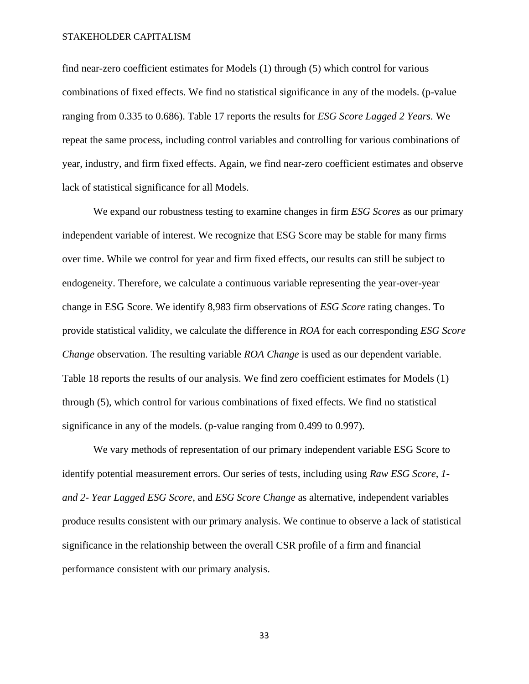find near-zero coefficient estimates for Models (1) through (5) which control for various combinations of fixed effects. We find no statistical significance in any of the models. (p-value ranging from 0.335 to 0.686). Table 17 reports the results for *ESG Score Lagged 2 Years.* We repeat the same process, including control variables and controlling for various combinations of year, industry, and firm fixed effects. Again, we find near-zero coefficient estimates and observe lack of statistical significance for all Models.

We expand our robustness testing to examine changes in firm *ESG Scores* as our primary independent variable of interest. We recognize that ESG Score may be stable for many firms over time. While we control for year and firm fixed effects, our results can still be subject to endogeneity. Therefore, we calculate a continuous variable representing the year-over-year change in ESG Score. We identify 8,983 firm observations of *ESG Score* rating changes. To provide statistical validity, we calculate the difference in *ROA* for each corresponding *ESG Score Change* observation. The resulting variable *ROA Change* is used as our dependent variable. Table 18 reports the results of our analysis. We find zero coefficient estimates for Models (1) through (5), which control for various combinations of fixed effects. We find no statistical significance in any of the models. (p-value ranging from 0.499 to 0.997).

We vary methods of representation of our primary independent variable ESG Score to identify potential measurement errors. Our series of tests, including using *Raw ESG Score*, *1 and 2- Year Lagged ESG Score*, and *ESG Score Change* as alternative, independent variables produce results consistent with our primary analysis. We continue to observe a lack of statistical significance in the relationship between the overall CSR profile of a firm and financial performance consistent with our primary analysis.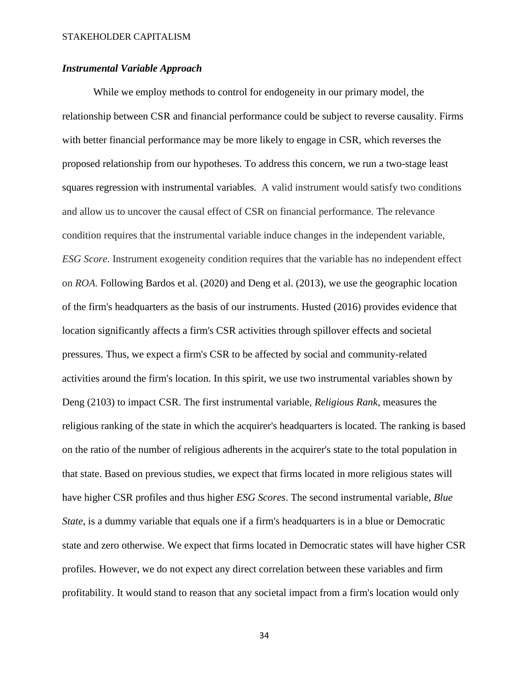### *Instrumental Variable Approach*

While we employ methods to control for endogeneity in our primary model, the relationship between CSR and financial performance could be subject to reverse causality. Firms with better financial performance may be more likely to engage in CSR, which reverses the proposed relationship from our hypotheses. To address this concern, we run a two-stage least squares regression with instrumental variables. A valid instrument would satisfy two conditions and allow us to uncover the causal effect of CSR on financial performance. The relevance condition requires that the instrumental variable induce changes in the independent variable, *ESG Score*. Instrument exogeneity condition requires that the variable has no independent effect on *ROA*. Following Bardos et al. (2020) and Deng et al. (2013), we use the geographic location of the firm's headquarters as the basis of our instruments. Husted (2016) provides evidence that location significantly affects a firm's CSR activities through spillover effects and societal pressures. Thus, we expect a firm's CSR to be affected by social and community-related activities around the firm's location. In this spirit, we use two instrumental variables shown by Deng (2103) to impact CSR. The first instrumental variable, *Religious Rank*, measures the religious ranking of the state in which the acquirer's headquarters is located. The ranking is based on the ratio of the number of religious adherents in the acquirer's state to the total population in that state. Based on previous studies, we expect that firms located in more religious states will have higher CSR profiles and thus higher *ESG Scores*. The second instrumental variable, *Blue State*, is a dummy variable that equals one if a firm's headquarters is in a blue or Democratic state and zero otherwise. We expect that firms located in Democratic states will have higher CSR profiles. However, we do not expect any direct correlation between these variables and firm profitability. It would stand to reason that any societal impact from a firm's location would only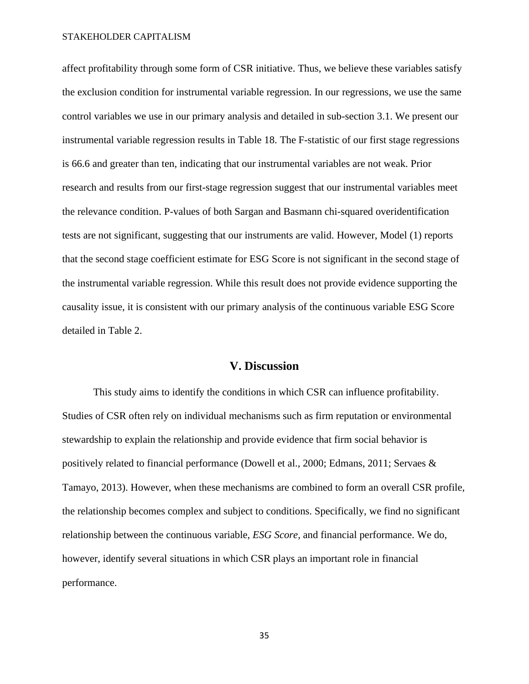affect profitability through some form of CSR initiative. Thus, we believe these variables satisfy the exclusion condition for instrumental variable regression. In our regressions, we use the same control variables we use in our primary analysis and detailed in sub-section 3.1. We present our instrumental variable regression results in Table 18. The F-statistic of our first stage regressions is 66.6 and greater than ten, indicating that our instrumental variables are not weak. Prior research and results from our first-stage regression suggest that our instrumental variables meet the relevance condition. P-values of both Sargan and Basmann chi-squared overidentification tests are not significant, suggesting that our instruments are valid. However, Model (1) reports that the second stage coefficient estimate for ESG Score is not significant in the second stage of the instrumental variable regression. While this result does not provide evidence supporting the causality issue, it is consistent with our primary analysis of the continuous variable ESG Score detailed in Table 2.

### **V. Discussion**

<span id="page-35-0"></span>This study aims to identify the conditions in which CSR can influence profitability. Studies of CSR often rely on individual mechanisms such as firm reputation or environmental stewardship to explain the relationship and provide evidence that firm social behavior is positively related to financial performance (Dowell et al., 2000; Edmans, 2011; Servaes & Tamayo, 2013). However, when these mechanisms are combined to form an overall CSR profile, the relationship becomes complex and subject to conditions. Specifically, we find no significant relationship between the continuous variable, *ESG Score,* and financial performance. We do, however, identify several situations in which CSR plays an important role in financial performance.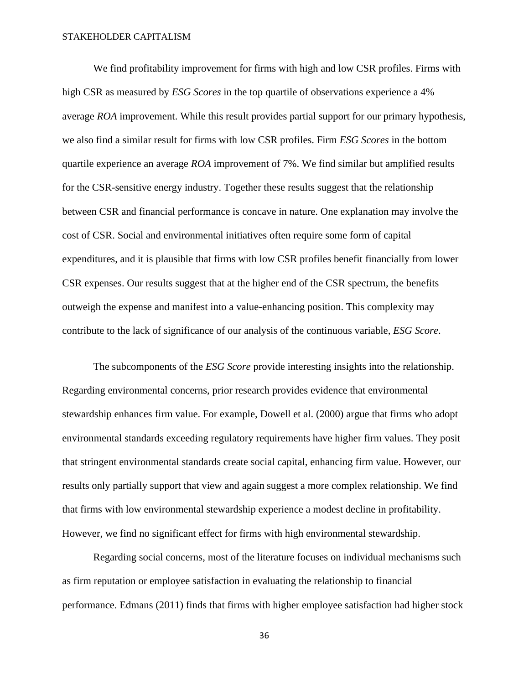We find profitability improvement for firms with high and low CSR profiles. Firms with high CSR as measured by *ESG Scores* in the top quartile of observations experience a 4% average *ROA* improvement. While this result provides partial support for our primary hypothesis, we also find a similar result for firms with low CSR profiles. Firm *ESG Scores* in the bottom quartile experience an average *ROA* improvement of 7%. We find similar but amplified results for the CSR-sensitive energy industry. Together these results suggest that the relationship between CSR and financial performance is concave in nature. One explanation may involve the cost of CSR. Social and environmental initiatives often require some form of capital expenditures, and it is plausible that firms with low CSR profiles benefit financially from lower CSR expenses. Our results suggest that at the higher end of the CSR spectrum, the benefits outweigh the expense and manifest into a value-enhancing position. This complexity may contribute to the lack of significance of our analysis of the continuous variable, *ESG Score*.

The subcomponents of the *ESG Score* provide interesting insights into the relationship. Regarding environmental concerns, prior research provides evidence that environmental stewardship enhances firm value. For example, Dowell et al. (2000) argue that firms who adopt environmental standards exceeding regulatory requirements have higher firm values. They posit that stringent environmental standards create social capital, enhancing firm value. However, our results only partially support that view and again suggest a more complex relationship. We find that firms with low environmental stewardship experience a modest decline in profitability. However, we find no significant effect for firms with high environmental stewardship.

Regarding social concerns, most of the literature focuses on individual mechanisms such as firm reputation or employee satisfaction in evaluating the relationship to financial performance. Edmans (2011) finds that firms with higher employee satisfaction had higher stock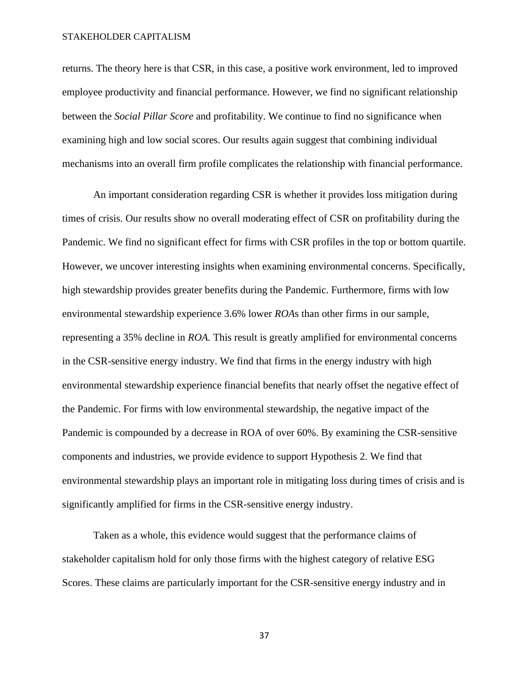returns. The theory here is that CSR, in this case, a positive work environment, led to improved employee productivity and financial performance. However, we find no significant relationship between the *Social Pillar Score* and profitability. We continue to find no significance when examining high and low social scores. Our results again suggest that combining individual mechanisms into an overall firm profile complicates the relationship with financial performance.

An important consideration regarding CSR is whether it provides loss mitigation during times of crisis. Our results show no overall moderating effect of CSR on profitability during the Pandemic. We find no significant effect for firms with CSR profiles in the top or bottom quartile. However, we uncover interesting insights when examining environmental concerns. Specifically, high stewardship provides greater benefits during the Pandemic. Furthermore, firms with low environmental stewardship experience 3.6% lower *ROA*s than other firms in our sample, representing a 35% decline in *ROA.* This result is greatly amplified for environmental concerns in the CSR-sensitive energy industry. We find that firms in the energy industry with high environmental stewardship experience financial benefits that nearly offset the negative effect of the Pandemic. For firms with low environmental stewardship, the negative impact of the Pandemic is compounded by a decrease in ROA of over 60%. By examining the CSR-sensitive components and industries, we provide evidence to support Hypothesis 2. We find that environmental stewardship plays an important role in mitigating loss during times of crisis and is significantly amplified for firms in the CSR-sensitive energy industry.

Taken as a whole, this evidence would suggest that the performance claims of stakeholder capitalism hold for only those firms with the highest category of relative ESG Scores. These claims are particularly important for the CSR-sensitive energy industry and in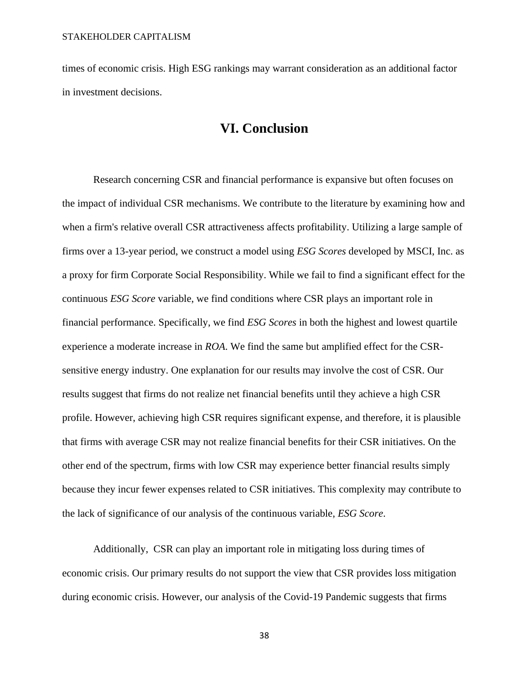<span id="page-38-0"></span>times of economic crisis. High ESG rankings may warrant consideration as an additional factor in investment decisions.

## **VI. Conclusion**

Research concerning CSR and financial performance is expansive but often focuses on the impact of individual CSR mechanisms. We contribute to the literature by examining how and when a firm's relative overall CSR attractiveness affects profitability. Utilizing a large sample of firms over a 13-year period, we construct a model using *ESG Scores* developed by MSCI, Inc. as a proxy for firm Corporate Social Responsibility. While we fail to find a significant effect for the continuous *ESG Score* variable, we find conditions where CSR plays an important role in financial performance. Specifically, we find *ESG Scores* in both the highest and lowest quartile experience a moderate increase in *ROA*. We find the same but amplified effect for the CSRsensitive energy industry. One explanation for our results may involve the cost of CSR. Our results suggest that firms do not realize net financial benefits until they achieve a high CSR profile. However, achieving high CSR requires significant expense, and therefore, it is plausible that firms with average CSR may not realize financial benefits for their CSR initiatives. On the other end of the spectrum, firms with low CSR may experience better financial results simply because they incur fewer expenses related to CSR initiatives. This complexity may contribute to the lack of significance of our analysis of the continuous variable, *ESG Score*.

Additionally, CSR can play an important role in mitigating loss during times of economic crisis. Our primary results do not support the view that CSR provides loss mitigation during economic crisis. However, our analysis of the Covid-19 Pandemic suggests that firms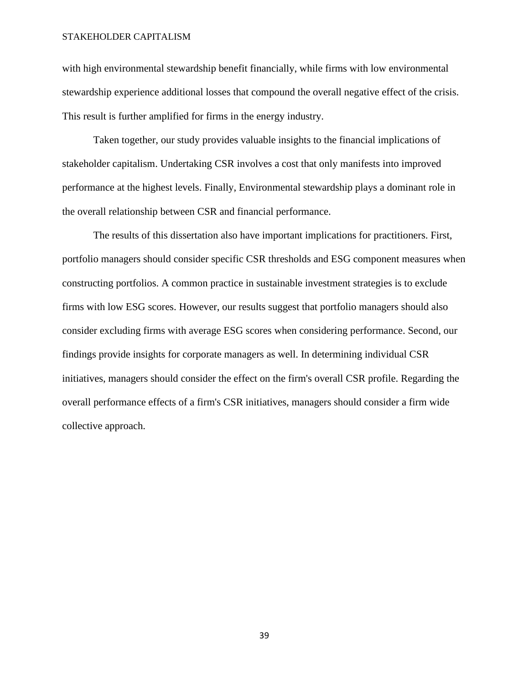with high environmental stewardship benefit financially, while firms with low environmental stewardship experience additional losses that compound the overall negative effect of the crisis. This result is further amplified for firms in the energy industry.

Taken together, our study provides valuable insights to the financial implications of stakeholder capitalism. Undertaking CSR involves a cost that only manifests into improved performance at the highest levels. Finally, Environmental stewardship plays a dominant role in the overall relationship between CSR and financial performance.

The results of this dissertation also have important implications for practitioners. First, portfolio managers should consider specific CSR thresholds and ESG component measures when constructing portfolios. A common practice in sustainable investment strategies is to exclude firms with low ESG scores. However, our results suggest that portfolio managers should also consider excluding firms with average ESG scores when considering performance. Second, our findings provide insights for corporate managers as well. In determining individual CSR initiatives, managers should consider the effect on the firm's overall CSR profile. Regarding the overall performance effects of a firm's CSR initiatives, managers should consider a firm wide collective approach.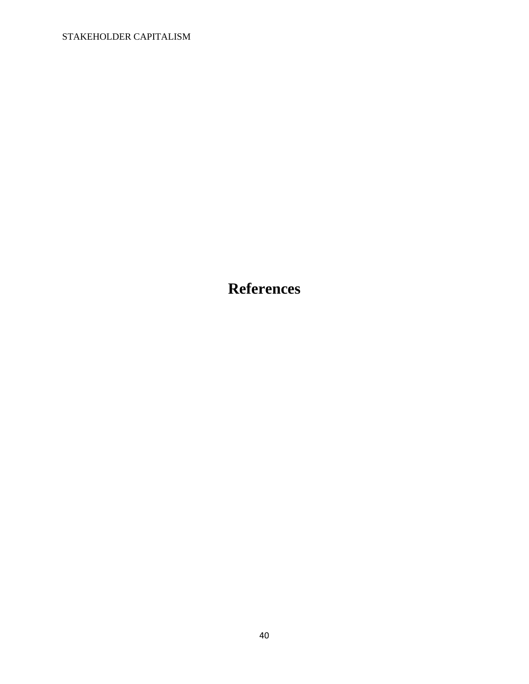<span id="page-40-0"></span>**References**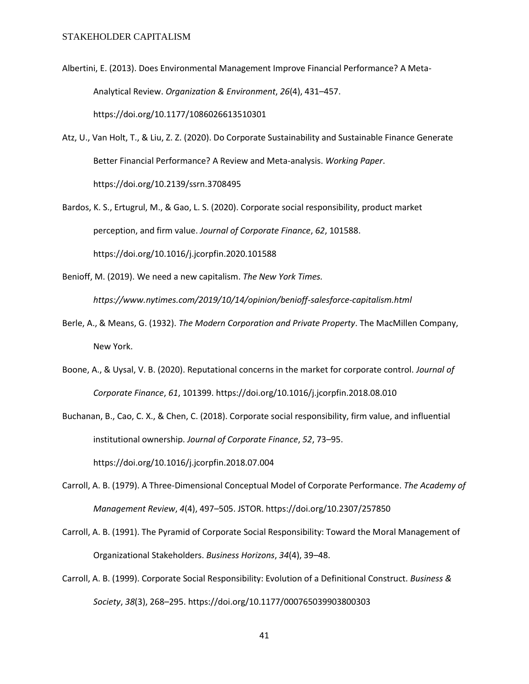- Albertini, E. (2013). Does Environmental Management Improve Financial Performance? A Meta-Analytical Review. *Organization & Environment*, *26*(4), 431–457. https://doi.org/10.1177/1086026613510301
- Atz, U., Van Holt, T., & Liu, Z. Z. (2020). Do Corporate Sustainability and Sustainable Finance Generate Better Financial Performance? A Review and Meta-analysis. *Working Paper*. https://doi.org/10.2139/ssrn.3708495
- Bardos, K. S., Ertugrul, M., & Gao, L. S. (2020). Corporate social responsibility, product market perception, and firm value. *Journal of Corporate Finance*, *62*, 101588. https://doi.org/10.1016/j.jcorpfin.2020.101588
- Benioff, M. (2019). We need a new capitalism. *The New York Times.*

*https://www.nytimes.com/2019/10/14/opinion/benioff-salesforce-capitalism.html*

- Berle, A., & Means, G. (1932). *The Modern Corporation and Private Property*. The MacMillen Company, New York.
- Boone, A., & Uysal, V. B. (2020). Reputational concerns in the market for corporate control. *Journal of Corporate Finance*, *61*, 101399. https://doi.org/10.1016/j.jcorpfin.2018.08.010

Buchanan, B., Cao, C. X., & Chen, C. (2018). Corporate social responsibility, firm value, and influential institutional ownership. *Journal of Corporate Finance*, *52*, 73–95. https://doi.org/10.1016/j.jcorpfin.2018.07.004

- Carroll, A. B. (1979). A Three-Dimensional Conceptual Model of Corporate Performance. *The Academy of Management Review*, *4*(4), 497–505. JSTOR. https://doi.org/10.2307/257850
- Carroll, A. B. (1991). The Pyramid of Corporate Social Responsibility: Toward the Moral Management of Organizational Stakeholders. *Business Horizons*, *34*(4), 39–48.
- Carroll, A. B. (1999). Corporate Social Responsibility: Evolution of a Definitional Construct. *Business & Society*, *38*(3), 268–295. https://doi.org/10.1177/000765039903800303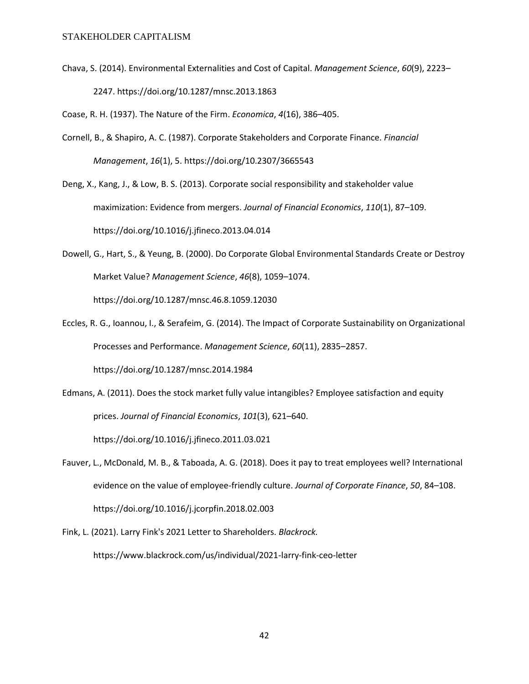Chava, S. (2014). Environmental Externalities and Cost of Capital. *Management Science*, *60*(9), 2223– 2247. https://doi.org/10.1287/mnsc.2013.1863

Coase, R. H. (1937). The Nature of the Firm. *Economica*, *4*(16), 386–405.

Cornell, B., & Shapiro, A. C. (1987). Corporate Stakeholders and Corporate Finance. *Financial Management*, *16*(1), 5. https://doi.org/10.2307/3665543

Deng, X., Kang, J., & Low, B. S. (2013). Corporate social responsibility and stakeholder value maximization: Evidence from mergers. *Journal of Financial Economics*, *110*(1), 87–109. https://doi.org/10.1016/j.jfineco.2013.04.014

- Dowell, G., Hart, S., & Yeung, B. (2000). Do Corporate Global Environmental Standards Create or Destroy Market Value? *Management Science*, *46*(8), 1059–1074. https://doi.org/10.1287/mnsc.46.8.1059.12030
- Eccles, R. G., Ioannou, I., & Serafeim, G. (2014). The Impact of Corporate Sustainability on Organizational Processes and Performance. *Management Science*, *60*(11), 2835–2857. https://doi.org/10.1287/mnsc.2014.1984
- Edmans, A. (2011). Does the stock market fully value intangibles? Employee satisfaction and equity prices. *Journal of Financial Economics*, *101*(3), 621–640. https://doi.org/10.1016/j.jfineco.2011.03.021
- Fauver, L., McDonald, M. B., & Taboada, A. G. (2018). Does it pay to treat employees well? International evidence on the value of employee-friendly culture. *Journal of Corporate Finance*, *50*, 84–108. https://doi.org/10.1016/j.jcorpfin.2018.02.003
- Fink, L. (2021). Larry Fink's 2021 Letter to Shareholders. *Blackrock.* https://www.blackrock.com/us/individual/2021-larry-fink-ceo-letter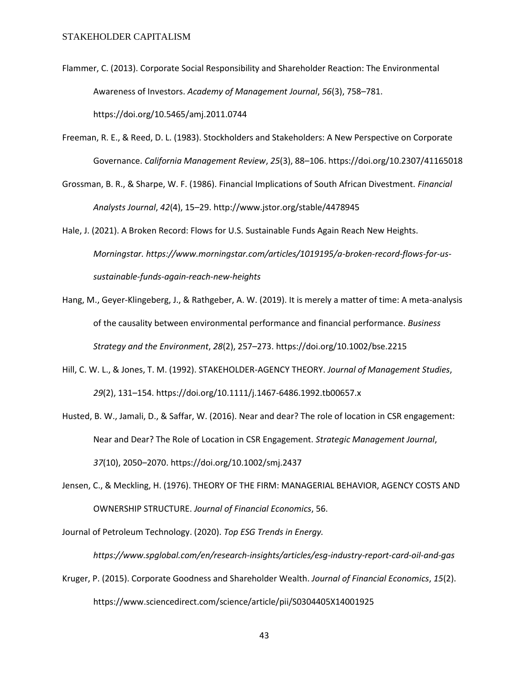- Flammer, C. (2013). Corporate Social Responsibility and Shareholder Reaction: The Environmental Awareness of Investors. *Academy of Management Journal*, *56*(3), 758–781. https://doi.org/10.5465/amj.2011.0744
- Freeman, R. E., & Reed, D. L. (1983). Stockholders and Stakeholders: A New Perspective on Corporate Governance. *California Management Review*, *25*(3), 88–106. https://doi.org/10.2307/41165018
- Grossman, B. R., & Sharpe, W. F. (1986). Financial Implications of South African Divestment. *Financial Analysts Journal*, *42*(4), 15–29. http://www.jstor.org/stable/4478945

Hale, J. (2021). A Broken Record: Flows for U.S. Sustainable Funds Again Reach New Heights. *Morningstar. https://www.morningstar.com/articles/1019195/a-broken-record-flows-for-ussustainable-funds-again-reach-new-heights*

- Hang, M., Geyer-Klingeberg, J., & Rathgeber, A. W. (2019). It is merely a matter of time: A meta-analysis of the causality between environmental performance and financial performance. *Business Strategy and the Environment*, *28*(2), 257–273. https://doi.org/10.1002/bse.2215
- Hill, C. W. L., & Jones, T. M. (1992). STAKEHOLDER-AGENCY THEORY. *Journal of Management Studies*, *29*(2), 131–154. https://doi.org/10.1111/j.1467-6486.1992.tb00657.x
- Husted, B. W., Jamali, D., & Saffar, W. (2016). Near and dear? The role of location in CSR engagement: Near and Dear? The Role of Location in CSR Engagement. *Strategic Management Journal*, *37*(10), 2050–2070. https://doi.org/10.1002/smj.2437
- Jensen, C., & Meckling, H. (1976). THEORY OF THE FIRM: MANAGERIAL BEHAVIOR, AGENCY COSTS AND OWNERSHIP STRUCTURE. *Journal of Financial Economics*, 56.

Journal of Petroleum Technology. (2020). *Top ESG Trends in Energy.* 

*https://www.spglobal.com/en/research-insights/articles/esg-industry-report-card-oil-and-gas*

Kruger, P. (2015). Corporate Goodness and Shareholder Wealth. *Journal of Financial Economics*, *15*(2). https://www.sciencedirect.com/science/article/pii/S0304405X14001925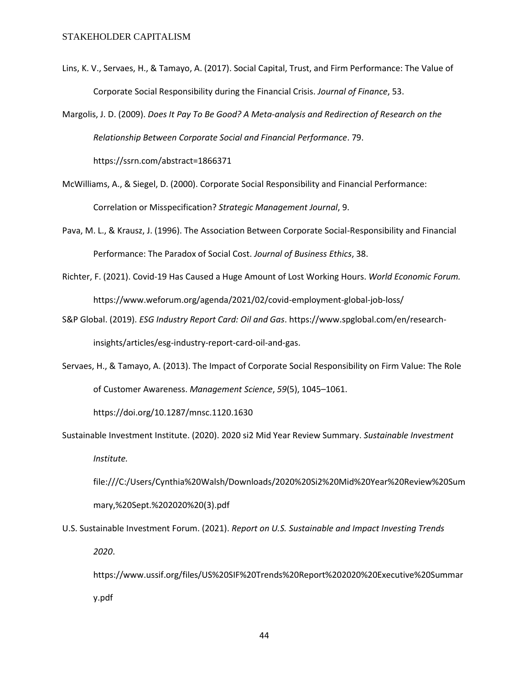- Lins, K. V., Servaes, H., & Tamayo, A. (2017). Social Capital, Trust, and Firm Performance: The Value of Corporate Social Responsibility during the Financial Crisis. *Journal of Finance*, 53.
- Margolis, J. D. (2009). *Does It Pay To Be Good? A Meta-analysis and Redirection of Research on the Relationship Between Corporate Social and Financial Performance*. 79. https://ssrn.com/abstract=1866371
- McWilliams, A., & Siegel, D. (2000). Corporate Social Responsibility and Financial Performance: Correlation or Misspecification? *Strategic Management Journal*, 9.
- Pava, M. L., & Krausz, J. (1996). The Association Between Corporate Social-Responsibility and Financial Performance: The Paradox of Social Cost. *Journal of Business Ethics*, 38.
- Richter, F. (2021). Covid-19 Has Caused a Huge Amount of Lost Working Hours. *World Economic Forum.* https://www.weforum.org/agenda/2021/02/covid-employment-global-job-loss/
- S&P Global. (2019). *ESG Industry Report Card: Oil and Gas*. https://www.spglobal.com/en/researchinsights/articles/esg-industry-report-card-oil-and-gas.
- Servaes, H., & Tamayo, A. (2013). The Impact of Corporate Social Responsibility on Firm Value: The Role of Customer Awareness. *Management Science*, *59*(5), 1045–1061.

https://doi.org/10.1287/mnsc.1120.1630

Sustainable Investment Institute. (2020). 2020 si2 Mid Year Review Summary. *Sustainable Investment Institute.*

file:///C:/Users/Cynthia%20Walsh/Downloads/2020%20Si2%20Mid%20Year%20Review%20Sum mary,%20Sept.%202020%20(3).pdf

U.S. Sustainable Investment Forum. (2021). *Report on U.S. Sustainable and Impact Investing Trends 2020*.

https://www.ussif.org/files/US%20SIF%20Trends%20Report%202020%20Executive%20Summar y.pdf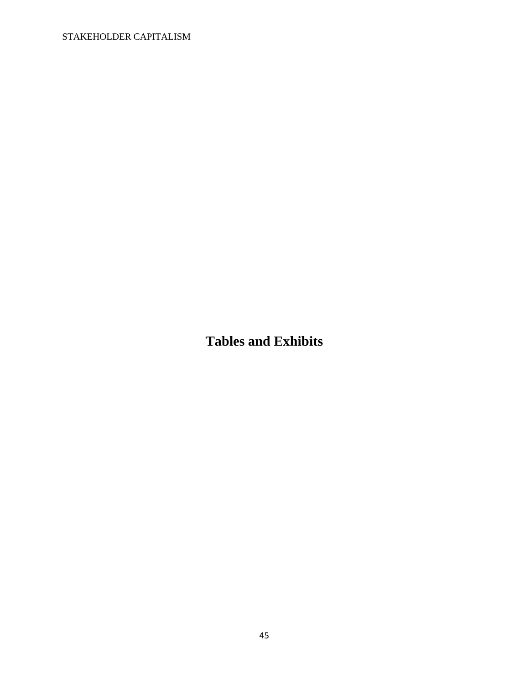<span id="page-45-0"></span>**Tables and Exhibits**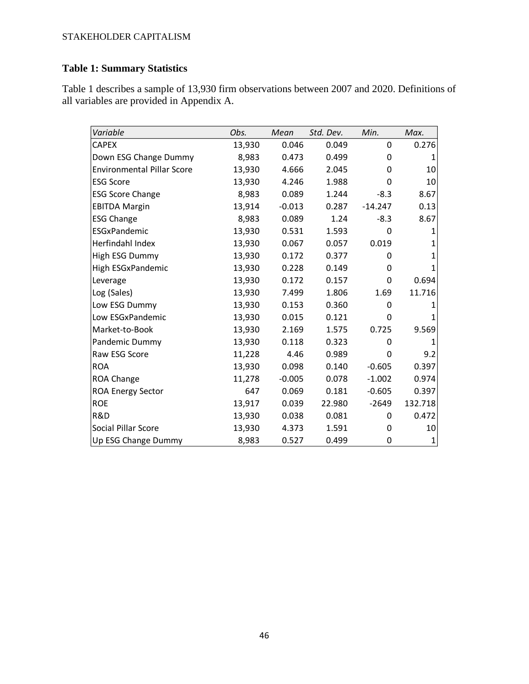## **Table 1: Summary Statistics**

Table 1 describes a sample of 13,930 firm observations between 2007 and 2020. Definitions of all variables are provided in Appendix A.

| Variable                          | Obs.   | Mean     | Std. Dev. | Min.      | Max.         |
|-----------------------------------|--------|----------|-----------|-----------|--------------|
| <b>CAPEX</b>                      | 13,930 | 0.046    | 0.049     | 0         | 0.276        |
| Down ESG Change Dummy             | 8,983  | 0.473    | 0.499     | 0         |              |
| <b>Environmental Pillar Score</b> | 13,930 | 4.666    | 2.045     | 0         | 10           |
| <b>ESG Score</b>                  | 13,930 | 4.246    | 1.988     | 0         | 10           |
| <b>ESG Score Change</b>           | 8,983  | 0.089    | 1.244     | $-8.3$    | 8.67         |
| <b>EBITDA Margin</b>              | 13,914 | $-0.013$ | 0.287     | $-14.247$ | 0.13         |
| <b>ESG Change</b>                 | 8,983  | 0.089    | 1.24      | $-8.3$    | 8.67         |
| ESGxPandemic                      | 13,930 | 0.531    | 1.593     | 0         | 1            |
| Herfindahl Index                  | 13,930 | 0.067    | 0.057     | 0.019     | 1            |
| High ESG Dummy                    | 13,930 | 0.172    | 0.377     | 0         | 1            |
| High ESGxPandemic                 | 13,930 | 0.228    | 0.149     | 0         |              |
| Leverage                          | 13,930 | 0.172    | 0.157     | 0         | 0.694        |
| Log (Sales)                       | 13,930 | 7.499    | 1.806     | 1.69      | 11.716       |
| Low ESG Dummy                     | 13,930 | 0.153    | 0.360     | 0         |              |
| Low ESGxPandemic                  | 13,930 | 0.015    | 0.121     | 0         |              |
| Market-to-Book                    | 13,930 | 2.169    | 1.575     | 0.725     | 9.569        |
| Pandemic Dummy                    | 13,930 | 0.118    | 0.323     | 0         | $\mathbf{1}$ |
| Raw ESG Score                     | 11,228 | 4.46     | 0.989     | 0         | 9.2          |
| <b>ROA</b>                        | 13,930 | 0.098    | 0.140     | $-0.605$  | 0.397        |
| ROA Change                        | 11,278 | $-0.005$ | 0.078     | $-1.002$  | 0.974        |
| <b>ROA Energy Sector</b>          | 647    | 0.069    | 0.181     | $-0.605$  | 0.397        |
| <b>ROE</b>                        | 13,917 | 0.039    | 22.980    | $-2649$   | 132.718      |
| R&D                               | 13,930 | 0.038    | 0.081     | 0         | 0.472        |
| Social Pillar Score               | 13,930 | 4.373    | 1.591     | 0         | 10           |
| Up ESG Change Dummy               | 8,983  | 0.527    | 0.499     | 0         | 1            |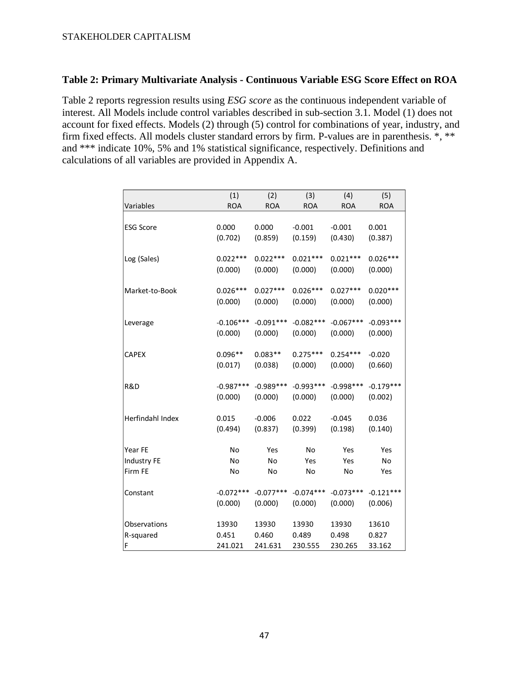## **Table 2: Primary Multivariate Analysis - Continuous Variable ESG Score Effect on ROA**

Table 2 reports regression results using *ESG score* as the continuous independent variable of interest. All Models include control variables described in sub-section 3.1. Model (1) does not account for fixed effects. Models (2) through (5) control for combinations of year, industry, and firm fixed effects. All models cluster standard errors by firm. P-values are in parenthesis. \*, \*\* and \*\*\* indicate 10%, 5% and 1% statistical significance, respectively. Definitions and calculations of all variables are provided in Appendix A.

|                  | (1)         | (2)         | (3)         | (4)         | (5)         |
|------------------|-------------|-------------|-------------|-------------|-------------|
| Variables        | <b>ROA</b>  | <b>ROA</b>  | <b>ROA</b>  | <b>ROA</b>  | <b>ROA</b>  |
| <b>ESG Score</b> | 0.000       | 0.000       | $-0.001$    | $-0.001$    | 0.001       |
|                  | (0.702)     | (0.859)     | (0.159)     | (0.430)     | (0.387)     |
| Log (Sales)      | $0.022***$  | $0.022***$  | $0.021***$  | $0.021***$  | $0.026***$  |
|                  | (0.000)     | (0.000)     | (0.000)     | (0.000)     | (0.000)     |
| Market-to-Book   | $0.026***$  | $0.027***$  | $0.026***$  | $0.027***$  | $0.020***$  |
|                  | (0.000)     | (0.000)     | (0.000)     | (0.000)     | (0.000)     |
| Leverage         | $-0.106***$ | $-0.091***$ | $-0.082***$ | $-0.067***$ | $-0.093***$ |
|                  | (0.000)     | (0.000)     | (0.000)     | (0.000)     | (0.000)     |
| <b>CAPEX</b>     | $0.096**$   | $0.083**$   | $0.275***$  | $0.254***$  | $-0.020$    |
|                  | (0.017)     | (0.038)     | (0.000)     | (0.000)     | (0.660)     |
| R&D              | $-0.987***$ | $-0.989***$ | $-0.993***$ | $-0.998***$ | $-0.179***$ |
|                  | (0.000)     | (0.000)     | (0.000)     | (0.000)     | (0.002)     |
| Herfindahl Index | 0.015       | $-0.006$    | 0.022       | $-0.045$    | 0.036       |
|                  | (0.494)     | (0.837)     | (0.399)     | (0.198)     | (0.140)     |
| Year FE          | No          | Yes         | No          | Yes         | Yes         |
| Industry FE      | No          | No          | Yes         | Yes         | No          |
| Firm FE          | No          | No          | No          | No          | Yes         |
| Constant         | $-0.072***$ | $-0.077***$ | $-0.074***$ | $-0.073***$ | $-0.121***$ |
|                  | (0.000)     | (0.000)     | (0.000)     | (0.000)     | (0.006)     |
| Observations     | 13930       | 13930       | 13930       | 13930       | 13610       |
| R-squared        | 0.451       | 0.460       | 0.489       | 0.498       | 0.827       |
| F                | 241.021     | 241.631     | 230.555     | 230.265     | 33.162      |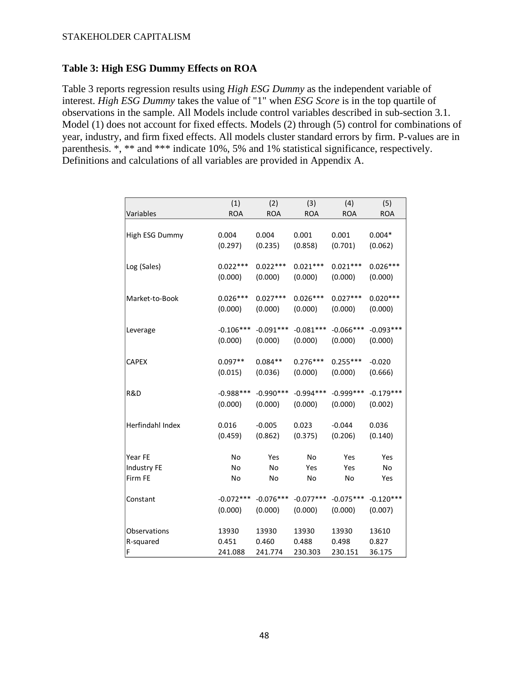### **Table 3: High ESG Dummy Effects on ROA**

Table 3 reports regression results using *High ESG Dummy* as the independent variable of interest. *High ESG Dummy* takes the value of "1" when *ESG Score* is in the top quartile of observations in the sample. All Models include control variables described in sub-section 3.1. Model (1) does not account for fixed effects. Models (2) through (5) control for combinations of year, industry, and firm fixed effects. All models cluster standard errors by firm. P-values are in parenthesis. \*, \*\* and \*\*\* indicate 10%, 5% and 1% statistical significance, respectively. Definitions and calculations of all variables are provided in Appendix A.

| Variables        | (1)         | (2)         | (3)         | (4)         | (5)         |
|------------------|-------------|-------------|-------------|-------------|-------------|
|                  | <b>ROA</b>  | <b>ROA</b>  | <b>ROA</b>  | <b>ROA</b>  | <b>ROA</b>  |
| High ESG Dummy   | 0.004       | 0.004       | 0.001       | 0.001       | $0.004*$    |
|                  | (0.297)     | (0.235)     | (0.858)     | (0.701)     | (0.062)     |
| Log (Sales)      | $0.022***$  | $0.022***$  | $0.021***$  | $0.021***$  | $0.026***$  |
|                  | (0.000)     | (0.000)     | (0.000)     | (0.000)     | (0.000)     |
| Market-to-Book   | $0.026***$  | $0.027***$  | $0.026***$  | $0.027***$  | $0.020***$  |
|                  | (0.000)     | (0.000)     | (0.000)     | (0.000)     | (0.000)     |
| Leverage         | $-0.106***$ | $-0.091***$ | $-0.081***$ | $-0.066***$ | $-0.093***$ |
|                  | (0.000)     | (0.000)     | (0.000)     | (0.000)     | (0.000)     |
| <b>CAPEX</b>     | $0.097**$   | $0.084**$   | $0.276***$  | $0.255***$  | $-0.020$    |
|                  | (0.015)     | (0.036)     | (0.000)     | (0.000)     | (0.666)     |
| R&D              | $-0.988***$ | $-0.990***$ | $-0.994***$ | $-0.999***$ | $-0.179***$ |
|                  | (0.000)     | (0.000)     | (0.000)     | (0.000)     | (0.002)     |
| Herfindahl Index | 0.016       | $-0.005$    | 0.023       | $-0.044$    | 0.036       |
|                  | (0.459)     | (0.862)     | (0.375)     | (0.206)     | (0.140)     |
| Year FE          | No          | Yes         | No          | Yes         | Yes         |
| Industry FE      | No          | No          | Yes         | Yes         | No          |
| Firm FE          | No          | No          | No          | No          | Yes         |
| Constant         | $-0.072***$ | $-0.076***$ | $-0.077***$ | $-0.075***$ | $-0.120***$ |
|                  | (0.000)     | (0.000)     | (0.000)     | (0.000)     | (0.007)     |
| Observations     | 13930       | 13930       | 13930       | 13930       | 13610       |
| R-squared        | 0.451       | 0.460       | 0.488       | 0.498       | 0.827       |
| F                | 241.088     | 241.774     | 230.303     | 230.151     | 36.175      |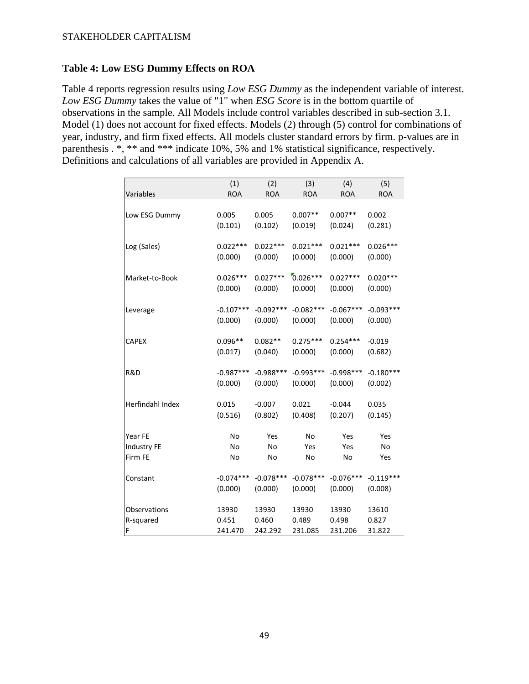### **Table 4: Low ESG Dummy Effects on ROA**

Table 4 reports regression results using *Low ESG Dummy* as the independent variable of interest. *Low ESG Dummy* takes the value of "1" when *ESG Score* is in the bottom quartile of observations in the sample. All Models include control variables described in sub-section 3.1. Model (1) does not account for fixed effects. Models (2) through (5) control for combinations of year, industry, and firm fixed effects. All models cluster standard errors by firm. p-values are in parenthesis . \*, \*\* and \*\*\* indicate 10%, 5% and 1% statistical significance, respectively. Definitions and calculations of all variables are provided in Appendix A.

| Variables        | (1)<br><b>ROA</b> | (2)<br><b>ROA</b> | (3)<br><b>ROA</b> | (4)<br><b>ROA</b> | (5)<br><b>ROA</b> |
|------------------|-------------------|-------------------|-------------------|-------------------|-------------------|
|                  |                   |                   |                   |                   |                   |
| Low ESG Dummy    | 0.005             | 0.005             | $0.007**$         | $0.007**$         | 0.002             |
|                  | (0.101)           | (0.102)           | (0.019)           | (0.024)           | (0.281)           |
| Log (Sales)      | $0.022***$        | $0.022***$        | $0.021***$        | $0.021***$        | $0.026***$        |
|                  | (0.000)           | (0.000)           | (0.000)           | (0.000)           | (0.000)           |
| Market-to-Book   | $0.026***$        | $0.027***$        | $0.026***$        | $0.027***$        | $0.020***$        |
|                  | (0.000)           | (0.000)           | (0.000)           | (0.000)           | (0.000)           |
| Leverage         | $-0.107***$       | $-0.092***$       | $-0.082***$       | $-0.067***$       | $-0.093***$       |
|                  | (0.000)           | (0.000)           | (0.000)           | (0.000)           | (0.000)           |
| <b>CAPEX</b>     | $0.096**$         | $0.082**$         | $0.275***$        | $0.254***$        | $-0.019$          |
|                  | (0.017)           | (0.040)           | (0.000)           | (0.000)           | (0.682)           |
| R&D              | $-0.987***$       | $-0.988***$       | $-0.993***$       | $-0.998***$       | $-0.180***$       |
|                  | (0.000)           | (0.000)           | (0.000)           | (0.000)           | (0.002)           |
| Herfindahl Index | 0.015             | $-0.007$          | 0.021             | $-0.044$          | 0.035             |
|                  | (0.516)           | (0.802)           | (0.408)           | (0.207)           | (0.145)           |
| Year FE          | No                | Yes               | No                | Yes               | Yes               |
| Industry FE      | No                | No                | Yes               | Yes               | No                |
| Firm FE          | No                | No                | No                | No                | Yes               |
| Constant         | $-0.074***$       | $-0.078***$       | $-0.078***$       | $-0.076***$       | $-0.119***$       |
|                  | (0.000)           | (0.000)           | (0.000)           | (0.000)           | (0.008)           |
| Observations     | 13930             | 13930             | 13930             | 13930             | 13610             |
| R-squared        | 0.451             | 0.460             | 0.489             | 0.498             | 0.827             |
| F                | 241.470           | 242.292           | 231.085           | 231.206           | 31.822            |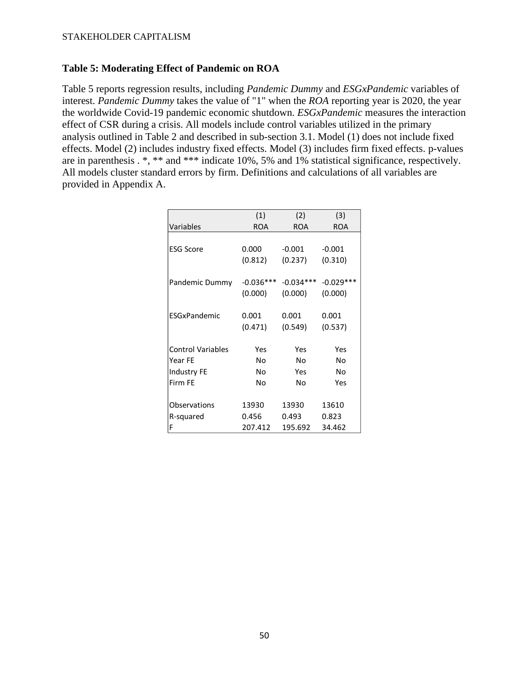### **Table 5: Moderating Effect of Pandemic on ROA**

Table 5 reports regression results, including *Pandemic Dummy* and *ESGxPandemic* variables of interest. *Pandemic Dummy* takes the value of "1" when the *ROA* reporting year is 2020, the year the worldwide Covid-19 pandemic economic shutdown. *ESGxPandemic* measures the interaction effect of CSR during a crisis. All models include control variables utilized in the primary analysis outlined in Table 2 and described in sub-section 3.1. Model (1) does not include fixed effects. Model (2) includes industry fixed effects. Model (3) includes firm fixed effects. p-values are in parenthesis . \*, \*\* and \*\*\* indicate 10%, 5% and 1% statistical significance, respectively. All models cluster standard errors by firm. Definitions and calculations of all variables are provided in Appendix A.

|                          | (1)         | (2)         | (3)         |
|--------------------------|-------------|-------------|-------------|
| Variables                | <b>ROA</b>  | <b>ROA</b>  | <b>ROA</b>  |
|                          |             |             |             |
| <b>ESG Score</b>         | 0.000       | $-0.001$    | $-0.001$    |
|                          | (0.812)     | (0.237)     | (0.310)     |
| Pandemic Dummy           | $-0.036***$ | $-0.034***$ | $-0.029***$ |
|                          | (0.000)     | (0.000)     | (0.000)     |
| <b>FSGxPandemic</b>      | 0.001       | 0.001       | 0.001       |
|                          | (0.471)     | (0.549)     | (0.537)     |
|                          |             |             |             |
| <b>Control Variables</b> | Yes         | Yes         | Yes         |
| Year FE                  | N٥          | No          | Nο          |
| Industry FE              | No          | Yes         | No          |
| Firm FE                  | N٥          | No          | Yes         |
| Observations             | 13930       | 13930       | 13610       |
| R-squared                | 0.456       | 0.493       | 0.823       |
| F                        | 207.412     | 195.692     | 34.462      |
|                          |             |             |             |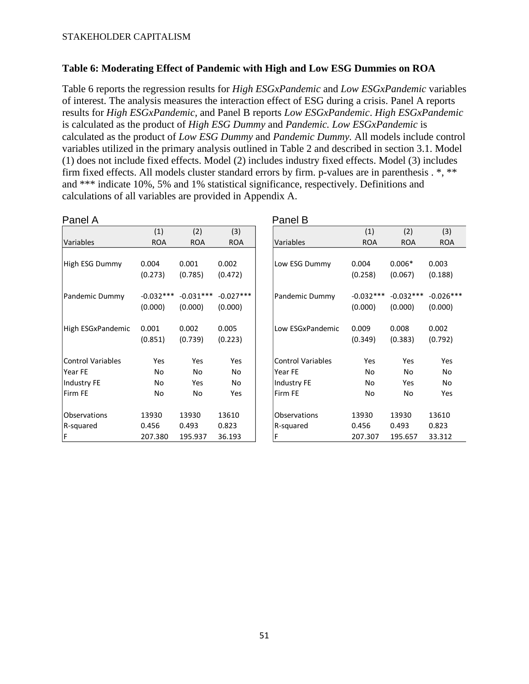### **Table 6: Moderating Effect of Pandemic with High and Low ESG Dummies on ROA**

Table 6 reports the regression results for *High ESGxPandemic* and *Low ESGxPandemic* variables of interest. The analysis measures the interaction effect of ESG during a crisis. Panel A reports results for *High ESGxPandemic,* and Panel B reports *Low ESGxPandemic*. *High ESGxPandemic* is calculated as the product of *High ESG Dummy* and *Pandemic. Low ESGxPandemic* is calculated as the product of *Low ESG Dummy* and *Pandemic Dummy.* All models include control variables utilized in the primary analysis outlined in Table 2 and described in section 3.1. Model (1) does not include fixed effects. Model (2) includes industry fixed effects. Model (3) includes firm fixed effects. All models cluster standard errors by firm. p-values are in parenthesis . \*, \*\* and \*\*\* indicate 10%, 5% and 1% statistical significance, respectively. Definitions and calculations of all variables are provided in Appendix A.

| (1)              |                                                                                                                                                 |                                                             |
|------------------|-------------------------------------------------------------------------------------------------------------------------------------------------|-------------------------------------------------------------|
|                  | (2)                                                                                                                                             | (3)                                                         |
| <b>ROA</b>       | <b>ROA</b>                                                                                                                                      | <b>ROA</b>                                                  |
|                  |                                                                                                                                                 |                                                             |
|                  |                                                                                                                                                 | 0.003                                                       |
| (0.258)          | (0.067)                                                                                                                                         | (0.188)                                                     |
|                  | $-0.032***$                                                                                                                                     | $-0.026***$                                                 |
| (0.000)          | (0.000)                                                                                                                                         | (0.000)                                                     |
| Low ESGxPandemic |                                                                                                                                                 | 0.002                                                       |
| (0.349)          | (0.383)                                                                                                                                         | (0.792)                                                     |
| Yes              |                                                                                                                                                 | Yes                                                         |
|                  |                                                                                                                                                 | No                                                          |
| No               | Yes                                                                                                                                             | No                                                          |
| No               | No                                                                                                                                              | Yes                                                         |
|                  |                                                                                                                                                 | 13610                                                       |
|                  |                                                                                                                                                 | 0.823                                                       |
|                  |                                                                                                                                                 | 33.312                                                      |
|                  | 0.004<br>Low ESG Dummy<br>$-0.032***$<br>Pandemic Dummy<br>0.009<br><b>Control Variables</b><br>No<br>Observations<br>13930<br>0.456<br>207.307 | $0.006*$<br>0.008<br>Yes<br>No<br>13930<br>0.493<br>195.657 |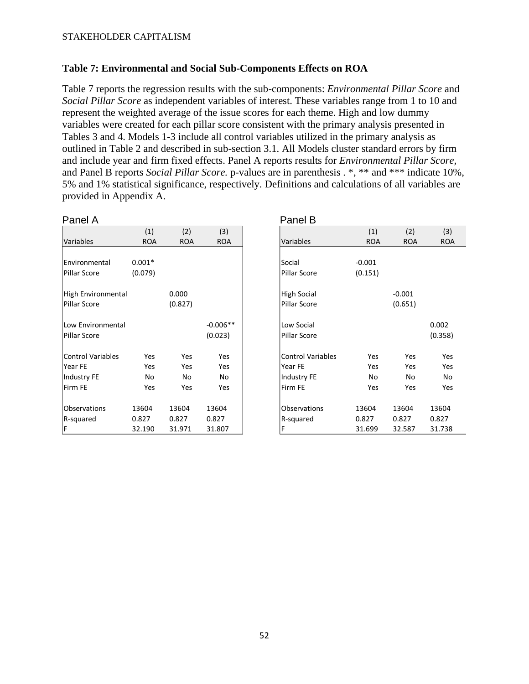### **Table 7: Environmental and Social Sub-Components Effects on ROA**

Table 7 reports the regression results with the sub-components: *Environmental Pillar Score* and *Social Pillar Score* as independent variables of interest. These variables range from 1 to 10 and represent the weighted average of the issue scores for each theme. High and low dummy variables were created for each pillar score consistent with the primary analysis presented in Tables 3 and 4. Models 1-3 include all control variables utilized in the primary analysis as outlined in Table 2 and described in sub-section 3.1. All Models cluster standard errors by firm and include year and firm fixed effects. Panel A reports results for *Environmental Pillar Score,* and Panel B reports *Social Pillar Score.* p-values are in parenthesis . \*, \*\* and \*\*\* indicate 10%, 5% and 1% statistical significance, respectively. Definitions and calculations of all variables are provided in Appendix A.

| Panel A                  |            |            |            | Panel B                         |            |            |
|--------------------------|------------|------------|------------|---------------------------------|------------|------------|
|                          | (1)        | (2)        | (3)        | (1)                             | (2)        | (3)        |
| Variables                | <b>ROA</b> | <b>ROA</b> | <b>ROA</b> | Variables<br><b>ROA</b>         | <b>ROA</b> | <b>ROA</b> |
| Environmental            | $0.001*$   |            |            | $-0.001$<br>Social              |            |            |
| Pillar Score             | (0.079)    |            |            | Pillar Score<br>(0.151)         |            |            |
| High Environmental       |            | 0.000      |            | High Social                     | $-0.001$   |            |
| Pillar Score             |            | (0.827)    |            | Pillar Score                    | (0.651)    |            |
| Low Environmental        |            |            | $-0.006**$ | Low Social                      |            | 0.002      |
| Pillar Score             |            |            | (0.023)    | Pillar Score                    |            | (0.358)    |
| <b>Control Variables</b> | Yes        | Yes        | Yes        | <b>Control Variables</b><br>Yes | Yes        | Yes        |
| Year FE                  | Yes        | Yes        | Yes        | Year FE<br>Yes                  | Yes        | Yes        |
| Industry FE              | No         | No         | No         | Industry FE<br>No               | No         | No         |
| Firm FE                  | Yes        | Yes        | Yes        | Firm FE<br>Yes                  | Yes        | Yes        |
| Observations             | 13604      | 13604      | 13604      | Observations<br>13604           | 13604      | 13604      |
| R-squared                | 0.827      | 0.827      | 0.827      | R-squared<br>0.827              | 0.827      | 0.827      |
| F                        | 32.190     | 31.971     | 31.807     | F<br>31.699                     | 32.587     | 31.738     |

|           |            |            | Panel B                  |            |            |            |
|-----------|------------|------------|--------------------------|------------|------------|------------|
| (1)       | (2)        | (3)        |                          | (1)        | (2)        | (3)        |
| <b>OA</b> | <b>ROA</b> | <b>ROA</b> | Variables                | <b>ROA</b> | <b>ROA</b> | <b>ROA</b> |
|           |            |            |                          |            |            |            |
| $1*$      |            |            | Social                   | $-0.001$   |            |            |
| 79)       |            |            | Pillar Score             | (0.151)    |            |            |
|           | 0.000      |            | <b>High Social</b>       |            | $-0.001$   |            |
|           | (0.827)    |            | Pillar Score             |            | (0.651)    |            |
|           |            |            |                          |            |            |            |
|           |            | $-0.006**$ | Low Social               |            |            | 0.002      |
|           |            | (0.023)    | Pillar Score             |            |            | (0.358)    |
| Yes       | Yes        | Yes        | <b>Control Variables</b> | Yes        | Yes        | Yes        |
| Yes       | Yes        | Yes        | Year FE                  | Yes        | Yes        | Yes        |
| No        | No         | No         | Industry FE              | No         | No         | No         |
| Yes       | Yes        | Yes        | Firm FE                  | Yes        | Yes        | Yes        |
|           |            |            |                          |            |            |            |
| 04        | 13604      | 13604      | Observations             | 13604      | 13604      | 13604      |
| 7         | 0.827      | 0.827      | R-squared                | 0.827      | 0.827      | 0.827      |
| .90       | 31.971     | 31.807     | F                        | 31.699     | 32.587     | 31.738     |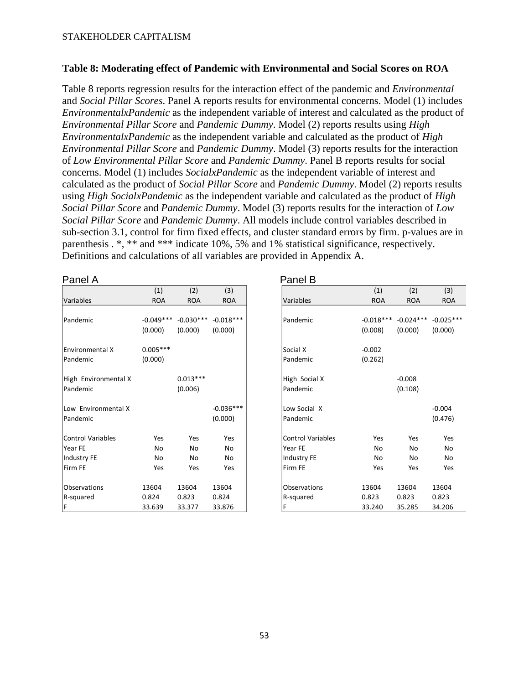### **Table 8: Moderating effect of Pandemic with Environmental and Social Scores on ROA**

Table 8 reports regression results for the interaction effect of the pandemic and *Environmental* and *Social Pillar Scores*. Panel A reports results for environmental concerns. Model (1) includes *EnvironmentalxPandemic* as the independent variable of interest and calculated as the product of *Environmental Pillar Score* and *Pandemic Dummy*. Model (2) reports results using *High EnvironmentalxPandemic* as the independent variable and calculated as the product of *High Environmental Pillar Score* and *Pandemic Dummy*. Model (3) reports results for the interaction of *Low Environmental Pillar Score* and *Pandemic Dummy*. Panel B reports results for social concerns. Model (1) includes *SocialxPandemic* as the independent variable of interest and calculated as the product of *Social Pillar Score* and *Pandemic Dummy*. Model (2) reports results using *High SocialxPandemic* as the independent variable and calculated as the product of *High Social Pillar Score* and *Pandemic Dummy*. Model (3) reports results for the interaction of *Low Social Pillar Score* and *Pandemic Dummy*. All models include control variables described in sub-section 3.1, control for firm fixed effects, and cluster standard errors by firm. p-values are in parenthesis . \*, \*\* and \*\*\* indicate 10%, 5% and 1% statistical significance, respectively. Definitions and calculations of all variables are provided in Appendix A.

|                      | (1)         | (2)         | (3)         |
|----------------------|-------------|-------------|-------------|
| Variables            | <b>ROA</b>  | <b>ROA</b>  | <b>ROA</b>  |
|                      |             |             |             |
| Pandemic             | $-0.049***$ | $-0.030***$ | $-0.018***$ |
|                      | (0.000)     | (0.000)     | (0.000)     |
| Environmental X      | $0.005***$  |             |             |
| Pandemic             | (0.000)     |             |             |
| High Environmental X |             | $0.013***$  |             |
| Pandemic             |             | (0.006)     |             |
| Low Environmental X  |             |             | $-0.036***$ |
| Pandemic             |             |             | (0.000)     |
| Control Variables    | Yes         | Yes         | Yes         |
| Year FE              | No          | No          | No          |
| Industry FE          | No          | No          | No          |
| Firm FE              | Yes         | Yes         | Yes         |
| Observations         | 13604       | 13604       | 13604       |
| R-squared            | 0.824       | 0.823       | 0.824       |
| IF                   | 33.639      | 33.377      | 33.876      |

### Panel A **Panel A** Panel B

| (1)         | (2)                               | (3)                                                      |
|-------------|-----------------------------------|----------------------------------------------------------|
| <b>ROA</b>  | <b>ROA</b>                        | <b>ROA</b>                                               |
|             |                                   |                                                          |
| $-0.049***$ | $-0.030***$                       | $-0.018***$                                              |
| (0.000)     | (0.000)                           | (0.000)                                                  |
|             |                                   |                                                          |
| $0.005***$  |                                   |                                                          |
|             |                                   |                                                          |
|             |                                   |                                                          |
|             |                                   |                                                          |
|             |                                   |                                                          |
|             |                                   |                                                          |
|             |                                   | $-0.036***$                                              |
|             |                                   |                                                          |
|             |                                   | (0.000)                                                  |
|             |                                   | Yes                                                      |
|             |                                   | No                                                       |
|             |                                   | No                                                       |
|             |                                   |                                                          |
|             |                                   | Yes                                                      |
|             |                                   |                                                          |
| 13604       |                                   | 13604                                                    |
| 0.824       | 0.823                             | 0.824                                                    |
| 33.639      | 33.377                            | 33.876                                                   |
|             | (0.000)<br>Yes<br>No<br>No<br>Yes | $0.013***$<br>(0.006)<br>Yes<br>No<br>No<br>Yes<br>13604 |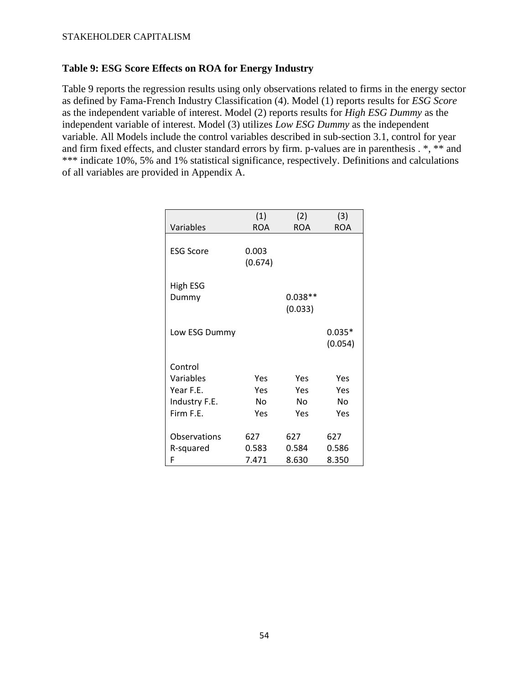### **Table 9: ESG Score Effects on ROA for Energy Industry**

Table 9 reports the regression results using only observations related to firms in the energy sector as defined by Fama-French Industry Classification (4). Model (1) reports results for *ESG Score*  as the independent variable of interest. Model (2) reports results for *High ESG Dummy* as the independent variable of interest. Model (3) utilizes *Low ESG Dummy* as the independent variable. All Models include the control variables described in sub-section 3.1, control for year and firm fixed effects, and cluster standard errors by firm. p-values are in parenthesis . \*, \*\* and \*\*\* indicate 10%, 5% and 1% statistical significance, respectively. Definitions and calculations of all variables are provided in Appendix A.

| Variables        | (1)<br><b>ROA</b> | (2)<br><b>ROA</b>    | (3)<br><b>ROA</b>   |
|------------------|-------------------|----------------------|---------------------|
|                  |                   |                      |                     |
| <b>ESG Score</b> | 0.003<br>(0.674)  |                      |                     |
| <b>High ESG</b>  |                   |                      |                     |
| Dummy            |                   | $0.038**$<br>(0.033) |                     |
|                  |                   |                      |                     |
| Low ESG Dummy    |                   |                      | $0.035*$<br>(0.054) |
| Control          |                   |                      |                     |
| Variables        | Yes               | Yes                  | Yes                 |
| Year F.E.        | Yes               | Yes                  | Yes                 |
| Industry F.E.    | No                | No                   | No                  |
| Firm F.E.        | Yes               | Yes                  | Yes                 |
| Observations     | 627               | 627                  | 627                 |
| R-squared        | 0.583             | 0.584                | 0.586               |
| F                | 7.471             | 8.630                | 8.350               |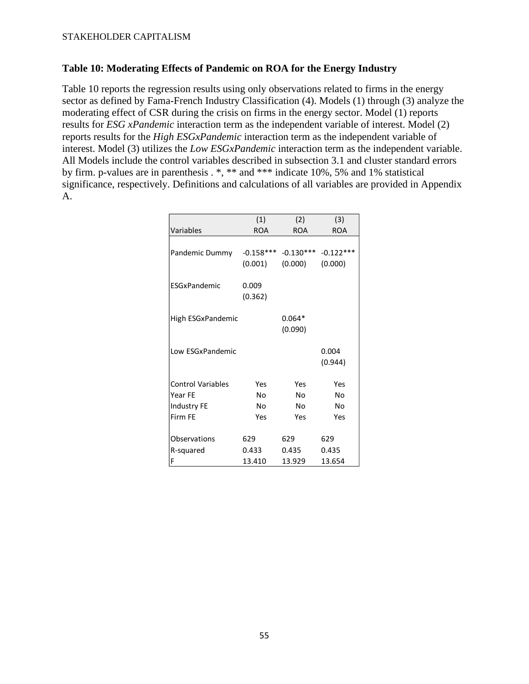### **Table 10: Moderating Effects of Pandemic on ROA for the Energy Industry**

Table 10 reports the regression results using only observations related to firms in the energy sector as defined by Fama-French Industry Classification (4). Models (1) through (3) analyze the moderating effect of CSR during the crisis on firms in the energy sector. Model (1) reports results for *ESG xPandemic* interaction term as the independent variable of interest. Model (2) reports results for the *High ESGxPandemic* interaction term as the independent variable of interest. Model (3) utilizes the *Low ESGxPandemic* interaction term as the independent variable. All Models include the control variables described in subsection 3.1 and cluster standard errors by firm. p-values are in parenthesis . \*, \*\* and \*\*\* indicate 10%, 5% and 1% statistical significance, respectively. Definitions and calculations of all variables are provided in Appendix A.

|                          | (1)                    | (2)                    | (3)                    |
|--------------------------|------------------------|------------------------|------------------------|
| Variables                | <b>ROA</b>             | <b>ROA</b>             | <b>ROA</b>             |
| Pandemic Dummy           | $-0.158***$<br>(0.001) | $-0.130***$<br>(0.000) | $-0.122***$<br>(0.000) |
| ESGxPandemic             | 0.009<br>(0.362)       |                        |                        |
| High ESGxPandemic        |                        | $0.064*$<br>(0.090)    |                        |
| Low ESGxPandemic         |                        |                        | 0.004<br>(0.944)       |
| <b>Control Variables</b> | Yes                    | Yes                    | Yes                    |
| Year FE                  | No                     | No                     | No                     |
| Industry FE              | No                     | No                     | No                     |
| Firm FE                  | Yes                    | Yes                    | Yes                    |
| Observations             | 629                    | 629                    | 629                    |
| R-squared<br>F           | 0.433<br>13.410        | 0.435<br>13.929        | 0.435<br>13.654        |
|                          |                        |                        |                        |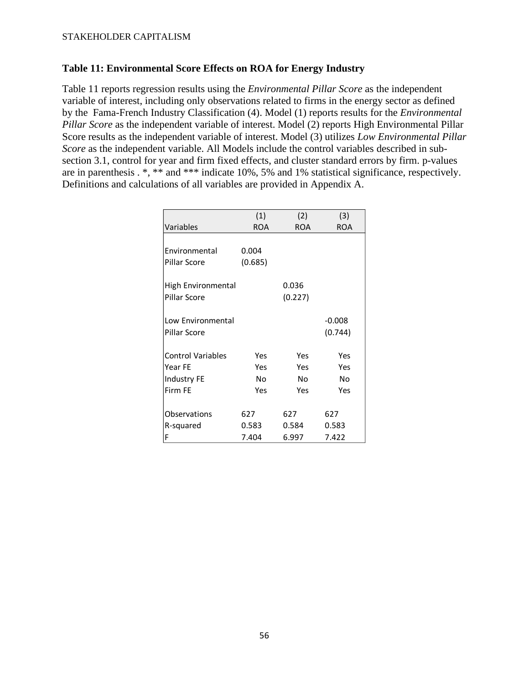### **Table 11: Environmental Score Effects on ROA for Energy Industry**

Table 11 reports regression results using the *Environmental Pillar Score* as the independent variable of interest, including only observations related to firms in the energy sector as defined by the Fama-French Industry Classification (4). Model (1) reports results for the *Environmental Pillar Score* as the independent variable of interest. Model (2) reports High Environmental Pillar Score results as the independent variable of interest. Model (3) utilizes *Low Environmental Pillar Score* as the independent variable. All Models include the control variables described in subsection 3.1, control for year and firm fixed effects, and cluster standard errors by firm. p-values are in parenthesis . \*, \*\* and \*\*\* indicate 10%, 5% and 1% statistical significance, respectively. Definitions and calculations of all variables are provided in Appendix A.

|                          | (1)        | (2)        | (3)      |
|--------------------------|------------|------------|----------|
| Variables                | <b>ROA</b> | <b>ROA</b> | ROA      |
|                          |            |            |          |
| Environmental            | 0.004      |            |          |
| Pillar Score             | (0.685)    |            |          |
|                          |            |            |          |
| High Environmental       |            | 0.036      |          |
| Pillar Score             |            | (0.227)    |          |
|                          |            |            |          |
| Low Environmental        |            |            | $-0.008$ |
| Pillar Score             |            |            | (0.744)  |
|                          |            |            |          |
| <b>Control Variables</b> | Yes        | Yes        | Yes      |
| Year FE                  | Yes        | Yes        | Yes      |
| <b>Industry FE</b>       | Nο         | Nο         | No       |
| Firm FE                  | Yes        | Yes        | Yes      |
|                          |            |            |          |
| Observations             | 627        | 627        | 627      |
| R-squared                | 0.583      | 0.584      | 0.583    |
| F                        | 7.404      | 6.997      | 7.422    |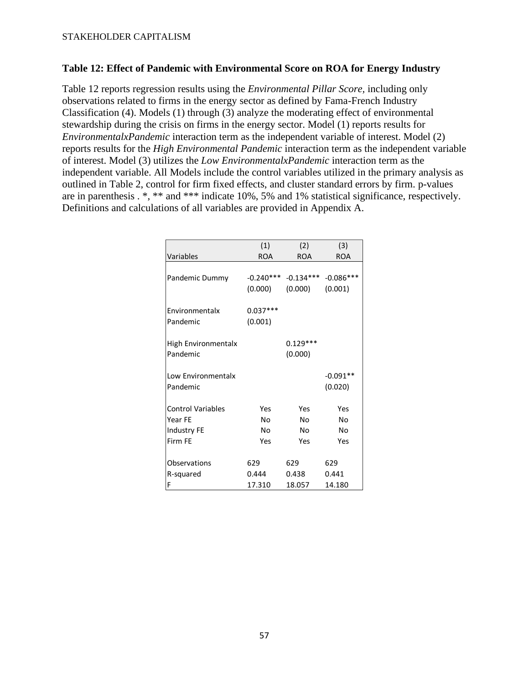### **Table 12: Effect of Pandemic with Environmental Score on ROA for Energy Industry**

Table 12 reports regression results using the *Environmental Pillar Score,* including only observations related to firms in the energy sector as defined by Fama-French Industry Classification (4). Models (1) through (3) analyze the moderating effect of environmental stewardship during the crisis on firms in the energy sector. Model (1) reports results for *EnvironmentalxPandemic* interaction term as the independent variable of interest. Model (2) reports results for the *High Environmental Pandemic* interaction term as the independent variable of interest. Model (3) utilizes the *Low EnvironmentalxPandemic* interaction term as the independent variable. All Models include the control variables utilized in the primary analysis as outlined in Table 2, control for firm fixed effects, and cluster standard errors by firm. p-values are in parenthesis . \*, \*\* and \*\*\* indicate 10%, 5% and 1% statistical significance, respectively. Definitions and calculations of all variables are provided in Appendix A.

| Variables                       | (1)                   | (2)                   | (3)                   |
|---------------------------------|-----------------------|-----------------------|-----------------------|
|                                 | <b>ROA</b>            | <b>ROA</b>            | <b>ROA</b>            |
| Pandemic Dummy                  | $-0.240***$           | $-0.134***$           | $-0.086***$           |
|                                 | (0.000)               | (0.000)               | (0.001)               |
| Environmentalx<br>Pandemic      | $0.037***$<br>(0.001) |                       |                       |
| High Environmentalx<br>Pandemic |                       | $0.129***$<br>(0.000) |                       |
| Low Environmentalx<br>Pandemic  |                       |                       | $-0.091**$<br>(0.020) |
| <b>Control Variables</b>        | Yes                   | Yes                   | Yes                   |
| Year FE                         | N٥                    | Nο                    | No                    |
| Industry FE                     | No                    | No                    | No                    |
| Firm FF                         | Yes                   | Yes                   | Yes                   |
| Observations                    | 629                   | 629                   | 629                   |
| R-squared                       | 0.444                 | 0.438                 | 0.441                 |
| F                               | 17.310                | 18.057                | 14.180                |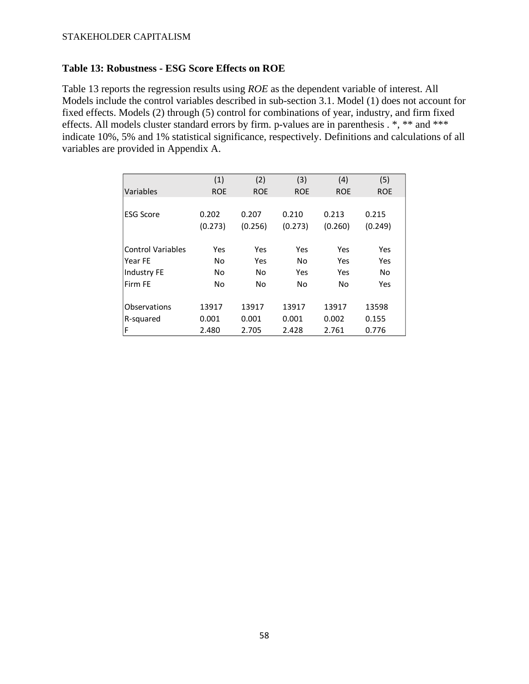### **Table 13: Robustness - ESG Score Effects on ROE**

Table 13 reports the regression results using *ROE* as the dependent variable of interest. All Models include the control variables described in sub-section 3.1. Model (1) does not account for fixed effects. Models (2) through (5) control for combinations of year, industry, and firm fixed effects. All models cluster standard errors by firm. p-values are in parenthesis . \*, \*\* and \*\*\* indicate 10%, 5% and 1% statistical significance, respectively. Definitions and calculations of all variables are provided in Appendix A.

|                          | (1)        | (2)        | (3)        | (4)        | (5)        |
|--------------------------|------------|------------|------------|------------|------------|
| Variables                | <b>ROE</b> | <b>ROE</b> | <b>ROE</b> | <b>ROE</b> | <b>ROE</b> |
|                          |            |            |            |            |            |
| <b>ESG Score</b>         | 0.202      | 0.207      | 0.210      | 0.213      | 0.215      |
|                          | (0.273)    | (0.256)    | (0.273)    | (0.260)    | (0.249)    |
| <b>Control Variables</b> | Yes        | Yes        | Yes        | Yes        | Yes        |
| Year FE                  | No         | Yes        | No         | Yes        | Yes        |
| <b>Industry FE</b>       | No         | No         | Yes        | Yes        | No         |
| Firm FF                  | No         | No         | No         | No         | Yes        |
| Observations             | 13917      | 13917      | 13917      | 13917      | 13598      |
| R-squared                | 0.001      | 0.001      | 0.001      | 0.002      | 0.155      |
| F                        | 2.480      | 2.705      | 2.428      | 2.761      | 0.776      |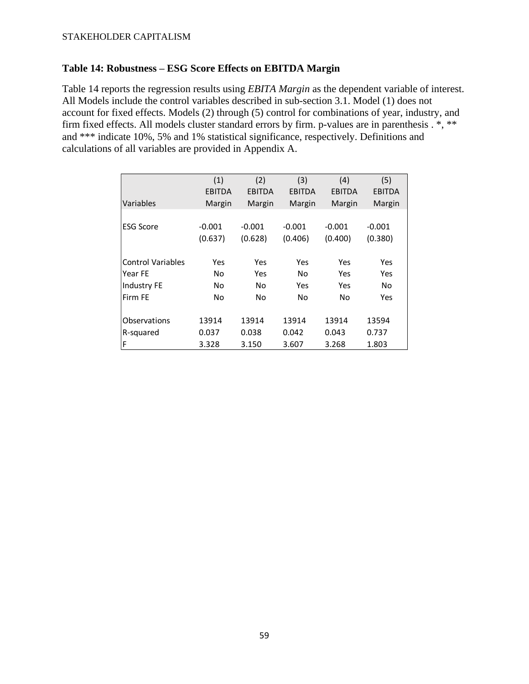### **Table 14: Robustness – ESG Score Effects on EBITDA Margin**

Table 14 reports the regression results using *EBITA Margin* as the dependent variable of interest. All Models include the control variables described in sub-section 3.1. Model (1) does not account for fixed effects. Models (2) through (5) control for combinations of year, industry, and firm fixed effects. All models cluster standard errors by firm. p-values are in parenthesis . \*, \*\* and \*\*\* indicate 10%, 5% and 1% statistical significance, respectively. Definitions and calculations of all variables are provided in Appendix A.

|                          | (1)           | (2)           | (3)           | (4)           | (5)           |
|--------------------------|---------------|---------------|---------------|---------------|---------------|
|                          | <b>EBITDA</b> | <b>EBITDA</b> | <b>EBITDA</b> | <b>EBITDA</b> | <b>EBITDA</b> |
| Variables                | Margin        | Margin        | Margin        | Margin        | Margin        |
|                          |               |               |               |               |               |
| <b>ESG Score</b>         | $-0.001$      | $-0.001$      | $-0.001$      | $-0.001$      | $-0.001$      |
|                          | (0.637)       | (0.628)       | (0.406)       | (0.400)       | (0.380)       |
|                          |               |               |               |               |               |
| <b>Control Variables</b> | Yes           | Yes           | Yes           | Yes           | Yes           |
| Year FE                  | No            | Yes           | No            | Yes           | Yes           |
| Industry FE              | No            | No.           | Yes           | Yes           | No.           |
| Firm FE                  | No            | No            | No            | No            | Yes           |
|                          |               |               |               |               |               |
| Observations             | 13914         | 13914         | 13914         | 13914         | 13594         |
| R-squared                | 0.037         | 0.038         | 0.042         | 0.043         | 0.737         |
| F                        | 3.328         | 3.150         | 3.607         | 3.268         | 1.803         |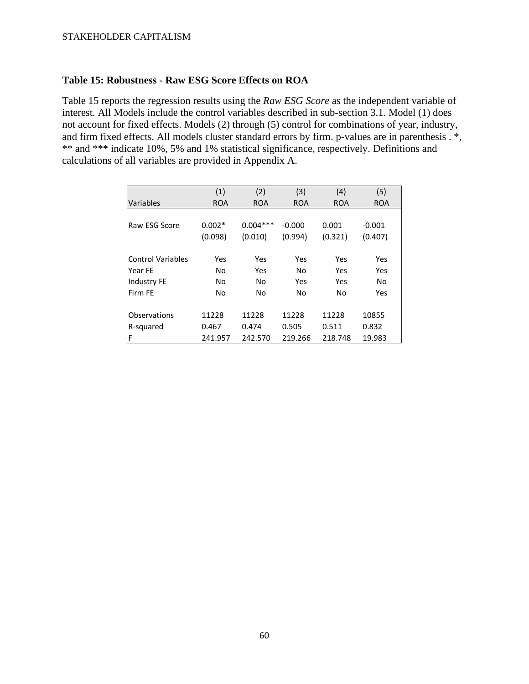### **Table 15: Robustness - Raw ESG Score Effects on ROA**

Table 15 reports the regression results using the *Raw ESG Score* as the independent variable of interest. All Models include the control variables described in sub-section 3.1. Model (1) does not account for fixed effects. Models (2) through (5) control for combinations of year, industry, and firm fixed effects. All models cluster standard errors by firm. p-values are in parenthesis . \*, \*\* and \*\*\* indicate 10%, 5% and 1% statistical significance, respectively. Definitions and calculations of all variables are provided in Appendix A.

|                          | (1)        | (2)        | (3)        | (4)        | (5)        |
|--------------------------|------------|------------|------------|------------|------------|
| Variables                | <b>ROA</b> | <b>ROA</b> | <b>ROA</b> | <b>ROA</b> | <b>ROA</b> |
|                          |            |            |            |            |            |
| Raw ESG Score            | $0.002*$   | $0.004***$ | $-0.000$   | 0.001      | $-0.001$   |
|                          | (0.098)    | (0.010)    | (0.994)    | (0.321)    | (0.407)    |
|                          |            |            |            |            |            |
| <b>Control Variables</b> | Yes        | Yes        | Yes        | Yes        | Yes        |
| Year FE                  | No         | Yes        | No         | Yes        | Yes        |
| Industry FE              | No         | No         | Yes        | Yes        | No         |
| Firm FE                  | No         | No         | No         | No         | Yes        |
|                          |            |            |            |            |            |
| Observations             | 11228      | 11228      | 11228      | 11228      | 10855      |
| R-squared                | 0.467      | 0.474      | 0.505      | 0.511      | 0.832      |
| F                        | 241.957    | 242.570    | 219.266    | 218.748    | 19.983     |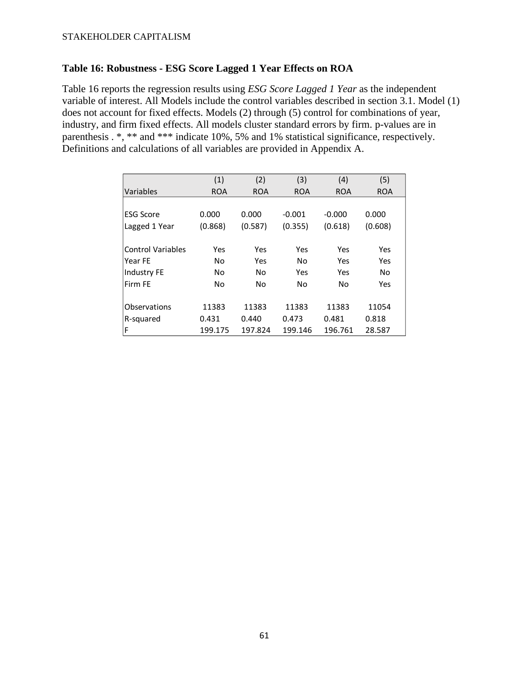### **Table 16: Robustness - ESG Score Lagged 1 Year Effects on ROA**

Table 16 reports the regression results using *ESG Score Lagged 1 Year* as the independent variable of interest. All Models include the control variables described in section 3.1. Model (1) does not account for fixed effects. Models (2) through (5) control for combinations of year, industry, and firm fixed effects. All models cluster standard errors by firm. p-values are in parenthesis . \*, \*\* and \*\*\* indicate 10%, 5% and 1% statistical significance, respectively. Definitions and calculations of all variables are provided in Appendix A.

|                     | (1)        | (2)        | (3)        | (4)        | (5)        |
|---------------------|------------|------------|------------|------------|------------|
| Variables           | <b>ROA</b> | <b>ROA</b> | <b>ROA</b> | <b>ROA</b> | <b>ROA</b> |
|                     |            |            |            |            |            |
| lESG Score          | 0.000      | 0.000      | $-0.001$   | $-0.000$   | 0.000      |
| Lagged 1 Year       | (0.868)    | (0.587)    | (0.355)    | (0.618)    | (0.608)    |
|                     |            |            |            |            |            |
| Control Variables   | Yes        | Yes        | Yes        | Yes        | Yes        |
| Year FE             | No         | Yes        | No         | Yes        | Yes        |
| Industry FE         | No         | No         | Yes        | Yes        | No         |
| Firm FE             | No         | No         | No         | No         | Yes        |
|                     |            |            |            |            |            |
| <b>Observations</b> | 11383      | 11383      | 11383      | 11383      | 11054      |
| R-squared           | 0.431      | 0.440      | 0.473      | 0.481      | 0.818      |
| F                   | 199.175    | 197.824    | 199.146    | 196.761    | 28.587     |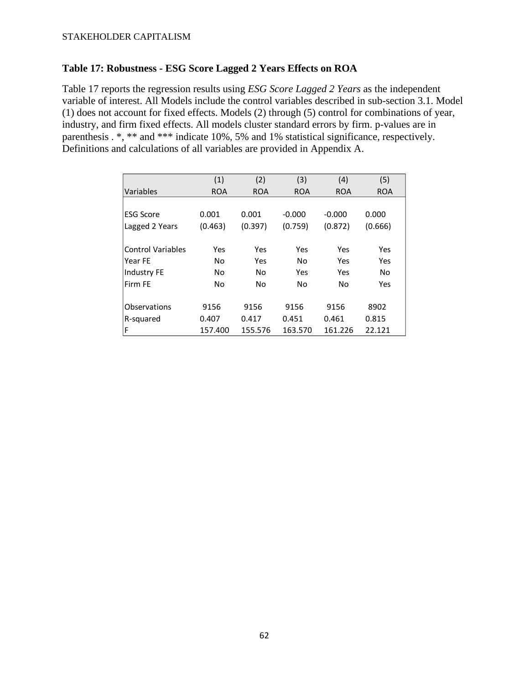### **Table 17: Robustness - ESG Score Lagged 2 Years Effects on ROA**

Table 17 reports the regression results using *ESG Score Lagged 2 Years* as the independent variable of interest. All Models include the control variables described in sub-section 3.1. Model (1) does not account for fixed effects. Models (2) through (5) control for combinations of year, industry, and firm fixed effects. All models cluster standard errors by firm. p-values are in parenthesis . \*, \*\* and \*\*\* indicate 10%, 5% and 1% statistical significance, respectively. Definitions and calculations of all variables are provided in Appendix A.

|                          | (1)        | (2)        | (3)        | (4)        | (5)        |
|--------------------------|------------|------------|------------|------------|------------|
| Variables                | <b>ROA</b> | <b>ROA</b> | <b>ROA</b> | <b>ROA</b> | <b>ROA</b> |
|                          |            |            |            |            |            |
| <b>ESG Score</b>         | 0.001      | 0.001      | $-0.000$   | $-0.000$   | 0.000      |
| Lagged 2 Years           | (0.463)    | (0.397)    | (0.759)    | (0.872)    | (0.666)    |
| <b>Control Variables</b> | Yes        | Yes        | Yes        | Yes        | Yes        |
| Year FE                  | No         | Yes        | No         | Yes        | Yes        |
| Industry FE              | No         | No         | Yes        | Yes        | No         |
| Firm FF                  | No         | No         | No         | No         | Yes        |
| Observations             | 9156       | 9156       | 9156       | 9156       | 8902       |
| R-squared                | 0.407      | 0.417      | 0.451      | 0.461      | 0.815      |
| F                        | 157.400    | 155.576    | 163.570    | 161.226    | 22.121     |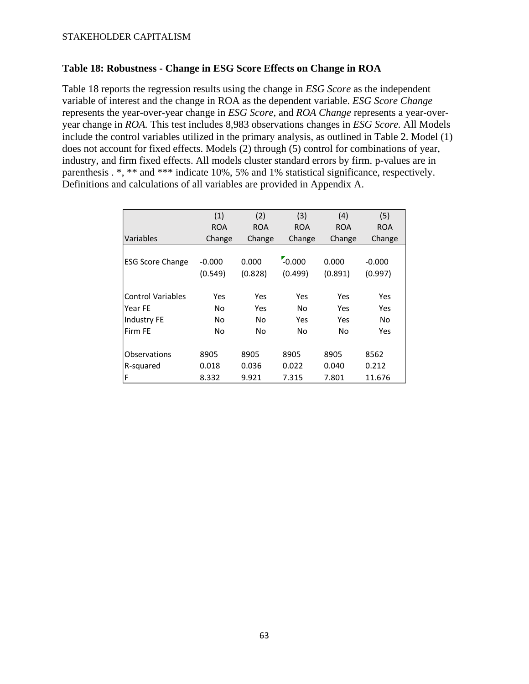### **Table 18: Robustness - Change in ESG Score Effects on Change in ROA**

Table 18 reports the regression results using the change in *ESG Score* as the independent variable of interest and the change in ROA as the dependent variable. *ESG Score Change* represents the year-over-year change in *ESG Score,* and *ROA Change* represents a year-overyear change in *ROA.* This test includes 8,983 observations changes in *ESG Score.* All Models include the control variables utilized in the primary analysis, as outlined in Table 2. Model (1) does not account for fixed effects. Models (2) through (5) control for combinations of year, industry, and firm fixed effects. All models cluster standard errors by firm. p-values are in parenthesis . \*, \*\* and \*\*\* indicate 10%, 5% and 1% statistical significance, respectively. Definitions and calculations of all variables are provided in Appendix A.

|                          | (1)        | (2)        | (3)        | (4)        | (5)        |
|--------------------------|------------|------------|------------|------------|------------|
|                          | <b>ROA</b> | <b>ROA</b> | <b>ROA</b> | <b>ROA</b> | <b>ROA</b> |
| Variables                | Change     | Change     | Change     | Change     | Change     |
|                          |            |            |            |            |            |
| <b>ESG Score Change</b>  | $-0.000$   | 0.000      | $-0.000$   | 0.000      | $-0.000$   |
|                          | (0.549)    | (0.828)    | (0.499)    | (0.891)    | (0.997)    |
|                          |            |            |            |            |            |
| <b>Control Variables</b> | Yes        | Yes        | Yes        | Yes        | Yes        |
| Year FE                  | No         | Yes        | No         | Yes        | Yes        |
| <b>Industry FE</b>       | No         | No.        | Yes        | Yes        | No         |
| Firm FF                  | No         | No         | No         | No         | Yes        |
|                          |            |            |            |            |            |
| Observations             | 8905       | 8905       | 8905       | 8905       | 8562       |
| R-squared                | 0.018      | 0.036      | 0.022      | 0.040      | 0.212      |
| F                        | 8.332      | 9.921      | 7.315      | 7.801      | 11.676     |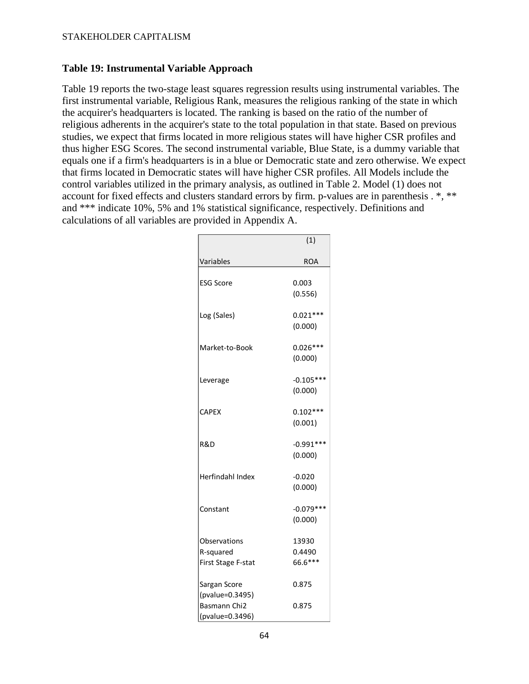### **Table 19: Instrumental Variable Approach**

Table 19 reports the two-stage least squares regression results using instrumental variables. The first instrumental variable, Religious Rank, measures the religious ranking of the state in which the acquirer's headquarters is located. The ranking is based on the ratio of the number of religious adherents in the acquirer's state to the total population in that state. Based on previous studies, we expect that firms located in more religious states will have higher CSR profiles and thus higher ESG Scores. The second instrumental variable, Blue State, is a dummy variable that equals one if a firm's headquarters is in a blue or Democratic state and zero otherwise. We expect that firms located in Democratic states will have higher CSR profiles. All Models include the control variables utilized in the primary analysis, as outlined in Table 2. Model (1) does not account for fixed effects and clusters standard errors by firm. p-values are in parenthesis . \*, \*\* and \*\*\* indicate 10%, 5% and 1% statistical significance, respectively. Definitions and calculations of all variables are provided in Appendix A.

|                                                 | (1)                        |
|-------------------------------------------------|----------------------------|
| Variables                                       | ROA                        |
| <b>ESG Score</b>                                | 0.003<br>(0.556)           |
| Log (Sales)                                     | $0.021***$<br>(0.000)      |
| Market-to-Book                                  | $0.026***$<br>(0.000)      |
| Leverage                                        | $-0.105***$<br>(0.000)     |
| <b>CAPEX</b>                                    | $0.102***$<br>(0.001)      |
| R&D                                             | $-0.991***$<br>(0.000)     |
| <b>Herfindahl Index</b>                         | $-0.020$<br>(0.000)        |
| Constant                                        | $-0.079***$<br>(0.000)     |
| Observations<br>R-squared<br>First Stage F-stat | 13930<br>0.4490<br>66.6*** |
| Sargan Score<br>(pvalue=0.3495)                 | 0.875                      |
| Basmann Chi2<br>(pvalue=0.3496)                 | 0.875                      |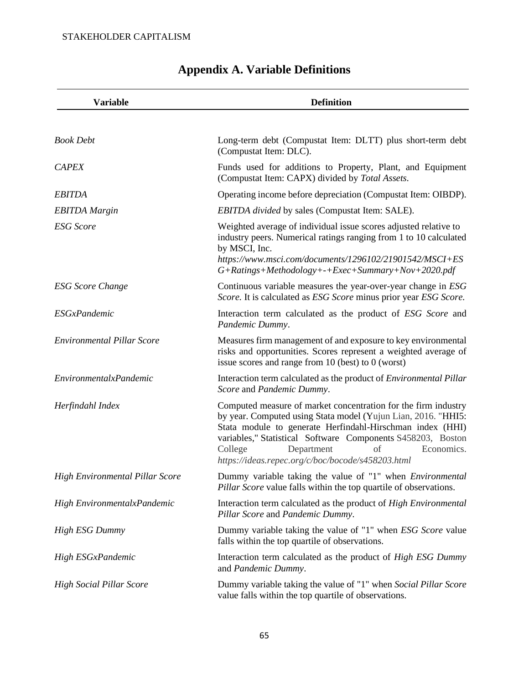<span id="page-65-0"></span>

| <b>Variable</b>                        | <b>Definition</b>                                                                                                                                                                                                                                                                                                                                             |
|----------------------------------------|---------------------------------------------------------------------------------------------------------------------------------------------------------------------------------------------------------------------------------------------------------------------------------------------------------------------------------------------------------------|
| <b>Book Debt</b>                       | Long-term debt (Compustat Item: DLTT) plus short-term debt                                                                                                                                                                                                                                                                                                    |
| <b>CAPEX</b>                           | (Compustat Item: DLC).<br>Funds used for additions to Property, Plant, and Equipment<br>(Compustat Item: CAPX) divided by Total Assets.                                                                                                                                                                                                                       |
| <b>EBITDA</b>                          | Operating income before depreciation (Compustat Item: OIBDP).                                                                                                                                                                                                                                                                                                 |
| <b>EBITDA</b> Margin                   | EBITDA divided by sales (Compustat Item: SALE).                                                                                                                                                                                                                                                                                                               |
| <b>ESG</b> Score                       | Weighted average of individual issue scores adjusted relative to<br>industry peers. Numerical ratings ranging from 1 to 10 calculated<br>by MSCI, Inc.<br>https://www.msci.com/documents/1296102/21901542/MSCI+ES<br>$G+Ratings+Methodology++Exec+Summary+Nov+2020.pdf$                                                                                       |
| <b>ESG</b> Score Change                | Continuous variable measures the year-over-year change in ESG<br>Score. It is calculated as ESG Score minus prior year ESG Score.                                                                                                                                                                                                                             |
| <b>ESGxPandemic</b>                    | Interaction term calculated as the product of ESG Score and<br>Pandemic Dummy.                                                                                                                                                                                                                                                                                |
| <b>Environmental Pillar Score</b>      | Measures firm management of and exposure to key environmental<br>risks and opportunities. Scores represent a weighted average of<br>issue scores and range from $10$ (best) to $0$ (worst)                                                                                                                                                                    |
| EnvironmentalxPandemic                 | Interaction term calculated as the product of <i>Environmental Pillar</i><br>Score and Pandemic Dummy.                                                                                                                                                                                                                                                        |
| Herfindahl Index                       | Computed measure of market concentration for the firm industry<br>by year. Computed using Stata model (Yujun Lian, 2016. "HHI5:<br>Stata module to generate Herfindahl-Hirschman index (HHI)<br>variables," Statistical Software Components S458203, Boston<br>Department<br>College<br>of<br>Economics.<br>https://ideas.repec.org/c/boc/bocode/s458203.html |
| <b>High Environmental Pillar Score</b> | Dummy variable taking the value of "1" when Environmental<br>Pillar Score value falls within the top quartile of observations.                                                                                                                                                                                                                                |
| High EnvironmentalxPandemic            | Interaction term calculated as the product of High Environmental<br>Pillar Score and Pandemic Dummy.                                                                                                                                                                                                                                                          |
| <b>High ESG Dummy</b>                  | Dummy variable taking the value of "1" when ESG Score value<br>falls within the top quartile of observations.                                                                                                                                                                                                                                                 |
| High ESGxPandemic                      | Interaction term calculated as the product of <i>High ESG Dummy</i><br>and Pandemic Dummy.                                                                                                                                                                                                                                                                    |
| <b>High Social Pillar Score</b>        | Dummy variable taking the value of "1" when Social Pillar Score<br>value falls within the top quartile of observations.                                                                                                                                                                                                                                       |

# **Appendix A. Variable Definitions**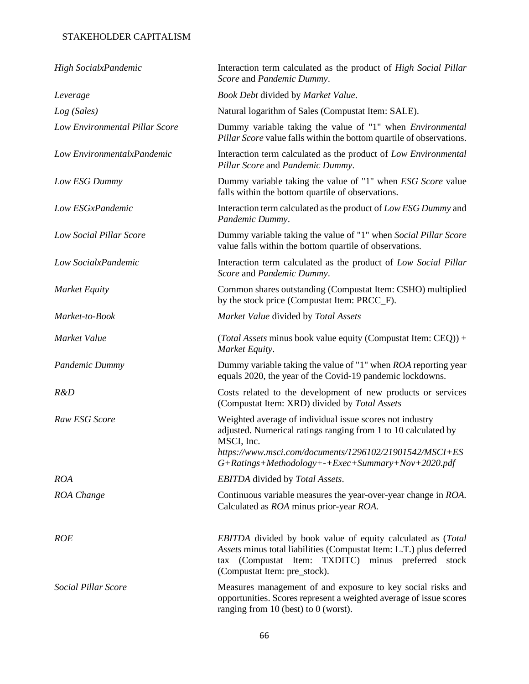| High SocialxPandemic           | Interaction term calculated as the product of <i>High Social Pillar</i><br>Score and Pandemic Dummy.                                                                                                                        |
|--------------------------------|-----------------------------------------------------------------------------------------------------------------------------------------------------------------------------------------------------------------------------|
| Leverage                       | Book Debt divided by Market Value.                                                                                                                                                                                          |
| Log (Sales)                    | Natural logarithm of Sales (Compustat Item: SALE).                                                                                                                                                                          |
| Low Environmental Pillar Score | Dummy variable taking the value of "1" when Environmental<br>Pillar Score value falls within the bottom quartile of observations.                                                                                           |
| Low EnvironmentalxPandemic     | Interaction term calculated as the product of Low Environmental<br>Pillar Score and Pandemic Dummy.                                                                                                                         |
| Low ESG Dummy                  | Dummy variable taking the value of "1" when ESG Score value<br>falls within the bottom quartile of observations.                                                                                                            |
| Low ESGxPandemic               | Interaction term calculated as the product of Low ESG Dummy and<br>Pandemic Dummy.                                                                                                                                          |
| Low Social Pillar Score        | Dummy variable taking the value of "1" when Social Pillar Score<br>value falls within the bottom quartile of observations.                                                                                                  |
| Low SocialxPandemic            | Interaction term calculated as the product of Low Social Pillar<br>Score and Pandemic Dummy.                                                                                                                                |
| <b>Market Equity</b>           | Common shares outstanding (Compustat Item: CSHO) multiplied<br>by the stock price (Compustat Item: PRCC_F).                                                                                                                 |
| Market-to-Book                 | Market Value divided by Total Assets                                                                                                                                                                                        |
| Market Value                   | (Total Assets minus book value equity (Compustat Item: CEQ)) +<br>Market Equity.                                                                                                                                            |
| Pandemic Dummy                 | Dummy variable taking the value of "1" when <i>ROA</i> reporting year<br>equals 2020, the year of the Covid-19 pandemic lockdowns.                                                                                          |
| R&D                            | Costs related to the development of new products or services<br>(Compustat Item: XRD) divided by Total Assets                                                                                                               |
| Raw ESG Score                  | Weighted average of individual issue scores not industry<br>adjusted. Numerical ratings ranging from 1 to 10 calculated by<br>MSCI, Inc.                                                                                    |
|                                | https://www.msci.com/documents/1296102/21901542/MSCI+ES<br>$G+Ratings+Methodology++Exec+Summary+Nov+2020.pdf$                                                                                                               |
| <b>ROA</b>                     | <b>EBITDA</b> divided by Total Assets.                                                                                                                                                                                      |
| ROA Change                     | Continuous variable measures the year-over-year change in ROA.<br>Calculated as ROA minus prior-year ROA.                                                                                                                   |
| <b>ROE</b>                     | EBITDA divided by book value of equity calculated as (Total<br>Assets minus total liabilities (Compustat Item: L.T.) plus deferred<br>tax (Compustat Item: TXDITC) minus preferred<br>stock<br>(Compustat Item: pre_stock). |
| Social Pillar Score            | Measures management of and exposure to key social risks and<br>opportunities. Scores represent a weighted average of issue scores<br>ranging from 10 (best) to 0 (worst).                                                   |